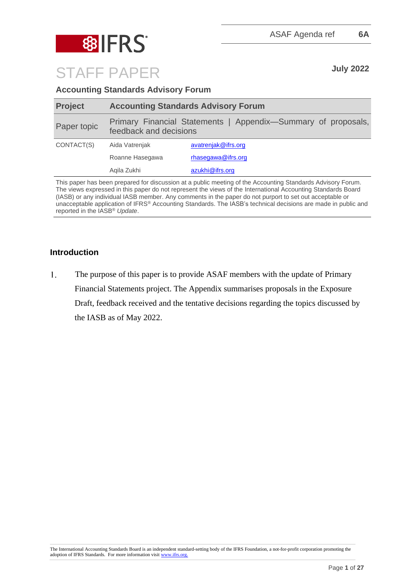

STAFF PAPER **July 2022**

**Accounting Standards Advisory Forum** 

| <b>Project</b> | <b>Accounting Standards Advisory Forum</b> |                                                               |  |
|----------------|--------------------------------------------|---------------------------------------------------------------|--|
| Paper topic    | feedback and decisions                     | Primary Financial Statements   Appendix-Summary of proposals, |  |
| CONTACT(S)     | Aida Vatrenjak                             | avatrenjak@ifrs.org                                           |  |
|                | Roanne Hasegawa                            | rhasegawa@ifrs.org                                            |  |
|                | Agila Zukhi                                | azukhi@ifrs.org                                               |  |

This paper has been prepared for discussion at a public meeting of the Accounting Standards Advisory Forum. The views expressed in this paper do not represent the views of the International Accounting Standards Board (IASB) or any individual IASB member. Any comments in the paper do not purport to set out acceptable or unacceptable application of IFRS® Accounting Standards. The IASB's technical decisions are made in public and reported in the IASB® *Update*.

## **Introduction**

 $1.$ The purpose of this paper is to provide ASAF members with the update of Primary Financial Statements project. The Appendix summarises proposals in the Exposure Draft, feedback received and the tentative decisions regarding the topics discussed by the IASB as of May 2022.

The International Accounting Standards Board is an independent standard-setting body of the IFRS Foundation, a not-for-profit corporation promoting the adoption of IFRS Standards. For more information visit [www.ifrs.org.](http://www.ifrs.org/)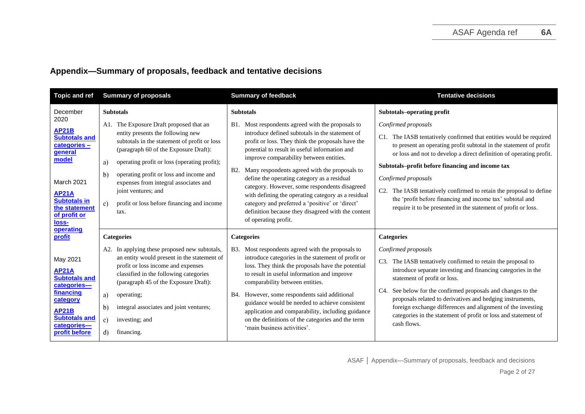## **Appendix—Summary of proposals, feedback and tentative decisions**

| <b>Topic and ref</b>                                                                                                                                                                                             | <b>Summary of proposals</b>                                                                                                                                                                                                                                                                                                                                                                                                            | <b>Summary of feedback</b>                                                                                                                                                                                                                                                                                                                                                                                                                                                                                                                                                                                         | <b>Tentative decisions</b>                                                                                                                                                                                                                                                                                                                                                                                                                                                                                                                        |
|------------------------------------------------------------------------------------------------------------------------------------------------------------------------------------------------------------------|----------------------------------------------------------------------------------------------------------------------------------------------------------------------------------------------------------------------------------------------------------------------------------------------------------------------------------------------------------------------------------------------------------------------------------------|--------------------------------------------------------------------------------------------------------------------------------------------------------------------------------------------------------------------------------------------------------------------------------------------------------------------------------------------------------------------------------------------------------------------------------------------------------------------------------------------------------------------------------------------------------------------------------------------------------------------|---------------------------------------------------------------------------------------------------------------------------------------------------------------------------------------------------------------------------------------------------------------------------------------------------------------------------------------------------------------------------------------------------------------------------------------------------------------------------------------------------------------------------------------------------|
| December<br>2020<br><b>AP21B</b><br><b>Subtotals and</b><br>categories -<br>general<br>model<br>March 2021<br><b>AP21A</b><br><b>Subtotals in</b><br>the statement                                               | <b>Subtotals</b><br>A1. The Exposure Draft proposed that an<br>entity presents the following new<br>subtotals in the statement of profit or loss<br>(paragraph 60 of the Exposure Draft):<br>operating profit or loss (operating profit);<br>a)<br>operating profit or loss and income and<br>b)<br>expenses from integral associates and<br>joint ventures; and<br>profit or loss before financing and income<br>$\mathbf{c}$<br>tax. | <b>Subtotals</b><br>Most respondents agreed with the proposals to<br><b>B</b> 1.<br>introduce defined subtotals in the statement of<br>profit or loss. They think the proposals have the<br>potential to result in useful information and<br>improve comparability between entities.<br>Many respondents agreed with the proposals to<br><b>B2.</b><br>define the operating category as a residual<br>category. However, some respondents disagreed<br>with defining the operating category as a residual<br>category and preferred a 'positive' or 'direct'<br>definition because they disagreed with the content | Subtotals-operating profit<br>Confirmed proposals<br>C1. The IASB tentatively confirmed that entities would be required<br>to present an operating profit subtotal in the statement of profit<br>or loss and not to develop a direct definition of operating profit.<br>Subtotals-profit before financing and income tax<br>Confirmed proposals<br>The IASB tentatively confirmed to retain the proposal to define<br>the 'profit before financing and income tax' subtotal and<br>require it to be presented in the statement of profit or loss. |
| of profit or<br>loss-<br>operating<br>profit<br>May 2021<br><b>AP21A</b><br><b>Subtotals and</b><br>categories-<br>financing<br>category<br><b>AP21B</b><br><b>Subtotals and</b><br>categories-<br>profit before | <b>Categories</b><br>A2. In applying these proposed new subtotals,<br>an entity would present in the statement of<br>profit or loss income and expenses<br>classified in the following categories<br>(paragraph 45 of the Exposure Draft):<br>a)<br>operating;<br>b)<br>integral associates and joint ventures;<br>$\mathbf{c}$<br>investing; and<br>d)<br>financing.                                                                  | of operating profit.<br><b>Categories</b><br>Most respondents agreed with the proposals to<br><b>B</b> 3.<br>introduce categories in the statement of profit or<br>loss. They think the proposals have the potential<br>to result in useful information and improve<br>comparability between entities.<br>B4. However, some respondents said additional<br>guidance would be needed to achieve consistent<br>application and comparability, including guidance<br>on the definitions of the categories and the term<br>'main business activities'.                                                                 | <b>Categories</b><br>Confirmed proposals<br>The IASB tentatively confirmed to retain the proposal to<br>C3.<br>introduce separate investing and financing categories in the<br>statement of profit or loss.<br>C4. See below for the confirmed proposals and changes to the<br>proposals related to derivatives and hedging instruments,<br>foreign exchange differences and alignment of the investing<br>categories in the statement of profit or loss and statement of<br>cash flows.                                                          |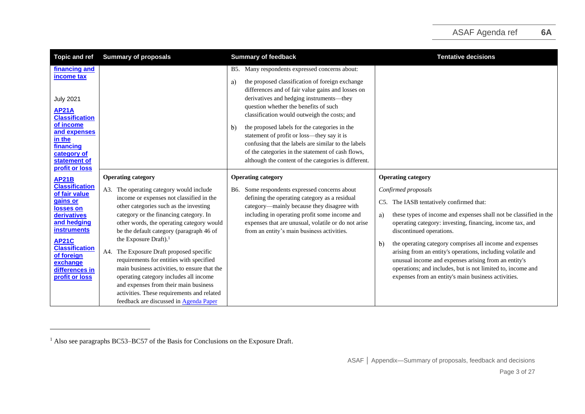| <b>Topic and ref</b>                                                                                                                                                                                                                | <b>Summary of proposals</b>                                                                                                                                                                                                                                                                                                                                                                                                                                                                                                                                                                                                                            | <b>Summary of feedback</b>                                                                                                                                                                                                                                                                                                                                                                                                                                                                                                                                                           | <b>Tentative decisions</b>                                                                                                                                                                                                                                                                                                                                                                                                                                                                                                                                                                |
|-------------------------------------------------------------------------------------------------------------------------------------------------------------------------------------------------------------------------------------|--------------------------------------------------------------------------------------------------------------------------------------------------------------------------------------------------------------------------------------------------------------------------------------------------------------------------------------------------------------------------------------------------------------------------------------------------------------------------------------------------------------------------------------------------------------------------------------------------------------------------------------------------------|--------------------------------------------------------------------------------------------------------------------------------------------------------------------------------------------------------------------------------------------------------------------------------------------------------------------------------------------------------------------------------------------------------------------------------------------------------------------------------------------------------------------------------------------------------------------------------------|-------------------------------------------------------------------------------------------------------------------------------------------------------------------------------------------------------------------------------------------------------------------------------------------------------------------------------------------------------------------------------------------------------------------------------------------------------------------------------------------------------------------------------------------------------------------------------------------|
| financing and<br>income tax<br><b>July 2021</b><br><b>AP21A</b><br><b>Classification</b><br>of income<br>and expenses<br>in the<br>financing<br>category of<br>statement of<br>profit or loss                                       |                                                                                                                                                                                                                                                                                                                                                                                                                                                                                                                                                                                                                                                        | B5. Many respondents expressed concerns about:<br>the proposed classification of foreign exchange<br>a)<br>differences and of fair value gains and losses on<br>derivatives and hedging instruments-they<br>question whether the benefits of such<br>classification would outweigh the costs; and<br>the proposed labels for the categories in the<br>$\mathbf{b}$<br>statement of profit or loss-they say it is<br>confusing that the labels are similar to the labels<br>of the categories in the statement of cash flows,<br>although the content of the categories is different. |                                                                                                                                                                                                                                                                                                                                                                                                                                                                                                                                                                                           |
| <b>AP21B</b><br><b>Classification</b><br>of fair value<br>gains or<br>losses on<br>derivatives<br>and hedging<br>instruments<br><b>AP21C</b><br><b>Classification</b><br>of foreign<br>exchange<br>differences in<br>profit or loss | <b>Operating category</b><br>A3. The operating category would include<br>income or expenses not classified in the<br>other categories such as the investing<br>category or the financing category. In<br>other words, the operating category would<br>be the default category (paragraph 46 of<br>the Exposure Draft). <sup>1</sup><br>A4. The Exposure Draft proposed specific<br>requirements for entities with specified<br>main business activities, to ensure that the<br>operating category includes all income<br>and expenses from their main business<br>activities. These requirements and related<br>feedback are discussed in Agenda Paper | <b>Operating category</b><br>Some respondents expressed concerns about<br>B6.<br>defining the operating category as a residual<br>category-mainly because they disagree with<br>including in operating profit some income and<br>expenses that are unusual, volatile or do not arise<br>from an entity's main business activities.                                                                                                                                                                                                                                                   | <b>Operating category</b><br>Confirmed proposals<br>C5. The IASB tentatively confirmed that:<br>these types of income and expenses shall not be classified in the<br>a)<br>operating category: investing, financing, income tax, and<br>discontinued operations.<br>the operating category comprises all income and expenses<br>$\mathbf{b}$<br>arising from an entity's operations, including volatile and<br>unusual income and expenses arising from an entity's<br>operations; and includes, but is not limited to, income and<br>expenses from an entity's main business activities. |

<sup>&</sup>lt;sup>1</sup> Also see paragraphs BC53–BC57 of the Basis for Conclusions on the Exposure Draft.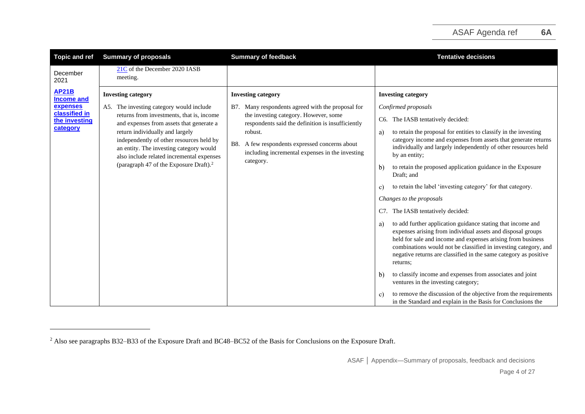| <b>Topic and ref</b>                                                                        | <b>Summary of proposals</b>                                                                                                                                                                                                                                                                                                                                                                 | <b>Summary of feedback</b>                                                                                                                                                                                                                                                                                      | <b>Tentative decisions</b>                                                                                                                                                                                                                                                                                                                                                                                                                                                                                                                                                                                                                                                                                                                                                                                                                                                                                                                                                                                       |
|---------------------------------------------------------------------------------------------|---------------------------------------------------------------------------------------------------------------------------------------------------------------------------------------------------------------------------------------------------------------------------------------------------------------------------------------------------------------------------------------------|-----------------------------------------------------------------------------------------------------------------------------------------------------------------------------------------------------------------------------------------------------------------------------------------------------------------|------------------------------------------------------------------------------------------------------------------------------------------------------------------------------------------------------------------------------------------------------------------------------------------------------------------------------------------------------------------------------------------------------------------------------------------------------------------------------------------------------------------------------------------------------------------------------------------------------------------------------------------------------------------------------------------------------------------------------------------------------------------------------------------------------------------------------------------------------------------------------------------------------------------------------------------------------------------------------------------------------------------|
| December<br>2021                                                                            | 21C of the December 2020 IASB<br>meeting.                                                                                                                                                                                                                                                                                                                                                   |                                                                                                                                                                                                                                                                                                                 |                                                                                                                                                                                                                                                                                                                                                                                                                                                                                                                                                                                                                                                                                                                                                                                                                                                                                                                                                                                                                  |
| <b>AP21B</b><br><b>Income and</b><br>expenses<br>classified in<br>the investing<br>category | <b>Investing category</b><br>A5. The investing category would include<br>returns from investments, that is, income<br>and expenses from assets that generate a<br>return individually and largely<br>independently of other resources held by<br>an entity. The investing category would<br>also include related incremental expenses<br>(paragraph 47 of the Exposure Draft). <sup>2</sup> | <b>Investing category</b><br>Many respondents agreed with the proposal for<br>B7.<br>the investing category. However, some<br>respondents said the definition is insufficiently<br>robust.<br>A few respondents expressed concerns about<br>B8.<br>including incremental expenses in the investing<br>category. | <b>Investing category</b><br>Confirmed proposals<br>The IASB tentatively decided:<br>C6.<br>to retain the proposal for entities to classify in the investing<br>a)<br>category income and expenses from assets that generate returns<br>individually and largely independently of other resources held<br>by an entity;<br>to retain the proposed application guidance in the Exposure<br>b)<br>Draft; and<br>to retain the label 'investing category' for that category.<br>c)<br>Changes to the proposals<br>C7. The IASB tentatively decided:<br>to add further application guidance stating that income and<br>a)<br>expenses arising from individual assets and disposal groups<br>held for sale and income and expenses arising from business<br>combinations would not be classified in investing category, and<br>negative returns are classified in the same category as positive<br>returns:<br>to classify income and expenses from associates and joint<br>b)<br>ventures in the investing category; |
|                                                                                             |                                                                                                                                                                                                                                                                                                                                                                                             |                                                                                                                                                                                                                                                                                                                 | to remove the discussion of the objective from the requirements<br>C)<br>in the Standard and explain in the Basis for Conclusions the                                                                                                                                                                                                                                                                                                                                                                                                                                                                                                                                                                                                                                                                                                                                                                                                                                                                            |

<sup>&</sup>lt;sup>2</sup> Also see paragraphs B32–B33 of the Exposure Draft and BC48–BC52 of the Basis for Conclusions on the Exposure Draft.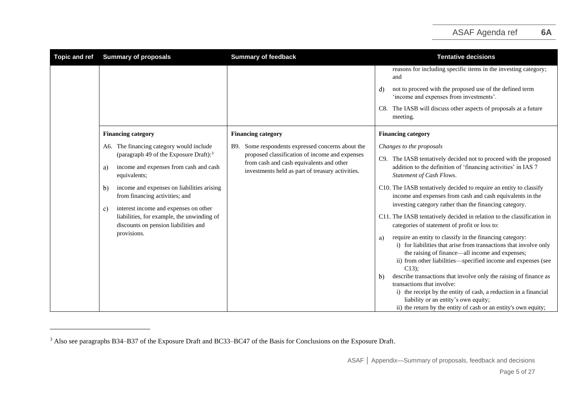| <b>Topic and ref</b> | <b>Summary of proposals</b>                                                                                                                                                                                                                                                                                                                                                                     | <b>Summary of feedback</b>                                                                                                                                                                             | <b>Tentative decisions</b>                                                                                                                                                                                                                                                                                                                                                                                                                                                                                                                                                                                                                                                                                                                                                                                                                                                                                                                                                                                                                                                                    |
|----------------------|-------------------------------------------------------------------------------------------------------------------------------------------------------------------------------------------------------------------------------------------------------------------------------------------------------------------------------------------------------------------------------------------------|--------------------------------------------------------------------------------------------------------------------------------------------------------------------------------------------------------|-----------------------------------------------------------------------------------------------------------------------------------------------------------------------------------------------------------------------------------------------------------------------------------------------------------------------------------------------------------------------------------------------------------------------------------------------------------------------------------------------------------------------------------------------------------------------------------------------------------------------------------------------------------------------------------------------------------------------------------------------------------------------------------------------------------------------------------------------------------------------------------------------------------------------------------------------------------------------------------------------------------------------------------------------------------------------------------------------|
|                      |                                                                                                                                                                                                                                                                                                                                                                                                 |                                                                                                                                                                                                        | reasons for including specific items in the investing category;<br>and<br>not to proceed with the proposed use of the defined term<br>d)<br>'income and expenses from investments'.<br>The IASB will discuss other aspects of proposals at a future<br>C8.<br>meeting.                                                                                                                                                                                                                                                                                                                                                                                                                                                                                                                                                                                                                                                                                                                                                                                                                        |
|                      | <b>Financing category</b>                                                                                                                                                                                                                                                                                                                                                                       | <b>Financing category</b>                                                                                                                                                                              | <b>Financing category</b>                                                                                                                                                                                                                                                                                                                                                                                                                                                                                                                                                                                                                                                                                                                                                                                                                                                                                                                                                                                                                                                                     |
|                      | A6. The financing category would include<br>(paragraph 49 of the Exposure Draft): $3$<br>income and expenses from cash and cash<br>a)<br>equivalents;<br>income and expenses on liabilities arising<br>b)<br>from financing activities; and<br>interest income and expenses on other<br>c)<br>liabilities, for example, the unwinding of<br>discounts on pension liabilities and<br>provisions. | Some respondents expressed concerns about the<br>B9.<br>proposed classification of income and expenses<br>from cash and cash equivalents and other<br>investments held as part of treasury activities. | Changes to the proposals<br>The IASB tentatively decided not to proceed with the proposed<br>C9.<br>addition to the definition of 'financing activities' in IAS 7<br>Statement of Cash Flows.<br>C10. The IASB tentatively decided to require an entity to classify<br>income and expenses from cash and cash equivalents in the<br>investing category rather than the financing category.<br>C11. The IASB tentatively decided in relation to the classification in<br>categories of statement of profit or loss to:<br>require an entity to classify in the financing category:<br>a)<br>i) for liabilities that arise from transactions that involve only<br>the raising of finance—all income and expenses;<br>ii) from other liabilities—specified income and expenses (see<br>$C13$ :<br>describe transactions that involve only the raising of finance as<br>$\mathbf{b}$<br>transactions that involve:<br>i) the receipt by the entity of cash, a reduction in a financial<br>liability or an entity's own equity;<br>ii) the return by the entity of cash or an entity's own equity; |

<sup>&</sup>lt;sup>3</sup> Also see paragraphs B34–B37 of the Exposure Draft and BC33–BC47 of the Basis for Conclusions on the Exposure Draft.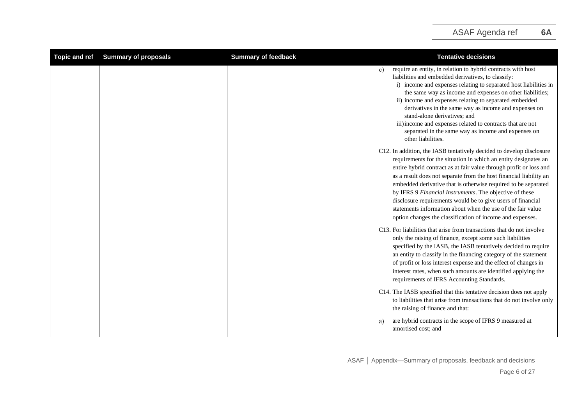<span id="page-5-0"></span>

| <b>Topic and ref</b> | <b>Summary of proposals</b> | <b>Summary of feedback</b> | <b>Tentative decisions</b>                                                                                                                                                                                                                                                                                                                                                                                                                                                                                                                                                                                  |
|----------------------|-----------------------------|----------------------------|-------------------------------------------------------------------------------------------------------------------------------------------------------------------------------------------------------------------------------------------------------------------------------------------------------------------------------------------------------------------------------------------------------------------------------------------------------------------------------------------------------------------------------------------------------------------------------------------------------------|
|                      |                             |                            | require an entity, in relation to hybrid contracts with host<br>c)<br>liabilities and embedded derivatives, to classify:<br>i) income and expenses relating to separated host liabilities in<br>the same way as income and expenses on other liabilities;<br>ii) income and expenses relating to separated embedded<br>derivatives in the same way as income and expenses on<br>stand-alone derivatives: and<br>iii) income and expenses related to contracts that are not<br>separated in the same way as income and expenses on<br>other liabilities.                                                     |
|                      |                             |                            | C12. In addition, the IASB tentatively decided to develop disclosure<br>requirements for the situation in which an entity designates an<br>entire hybrid contract as at fair value through profit or loss and<br>as a result does not separate from the host financial liability an<br>embedded derivative that is otherwise required to be separated<br>by IFRS 9 Financial Instruments. The objective of these<br>disclosure requirements would be to give users of financial<br>statements information about when the use of the fair value<br>option changes the classification of income and expenses. |
|                      |                             |                            | C13. For liabilities that arise from transactions that do not involve<br>only the raising of finance, except some such liabilities<br>specified by the IASB, the IASB tentatively decided to require<br>an entity to classify in the financing category of the statement<br>of profit or loss interest expense and the effect of changes in<br>interest rates, when such amounts are identified applying the<br>requirements of IFRS Accounting Standards.                                                                                                                                                  |
|                      |                             |                            | C14. The IASB specified that this tentative decision does not apply<br>to liabilities that arise from transactions that do not involve only<br>the raising of finance and that:                                                                                                                                                                                                                                                                                                                                                                                                                             |
|                      |                             |                            | are hybrid contracts in the scope of IFRS 9 measured at<br>a)<br>amortised cost; and                                                                                                                                                                                                                                                                                                                                                                                                                                                                                                                        |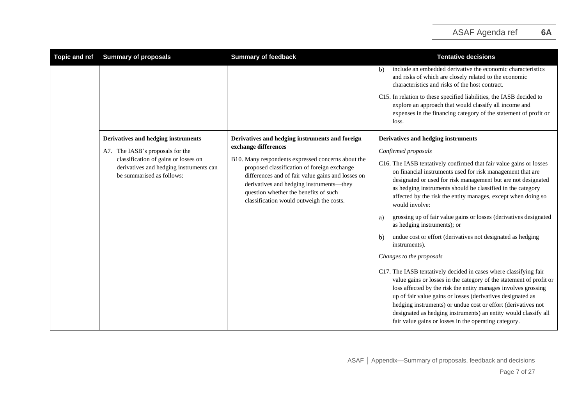| <b>Topic and ref</b> | <b>Summary of proposals</b>                                                                                  | <b>Summary of feedback</b>                                                                                                                                                                                                                                                              | <b>Tentative decisions</b>                                                                                                                                                                                                                                                                                                                                                                                                                                             |
|----------------------|--------------------------------------------------------------------------------------------------------------|-----------------------------------------------------------------------------------------------------------------------------------------------------------------------------------------------------------------------------------------------------------------------------------------|------------------------------------------------------------------------------------------------------------------------------------------------------------------------------------------------------------------------------------------------------------------------------------------------------------------------------------------------------------------------------------------------------------------------------------------------------------------------|
|                      |                                                                                                              |                                                                                                                                                                                                                                                                                         | include an embedded derivative the economic characteristics<br>$\mathbf{b}$<br>and risks of which are closely related to the economic<br>characteristics and risks of the host contract.                                                                                                                                                                                                                                                                               |
|                      |                                                                                                              |                                                                                                                                                                                                                                                                                         | C15. In relation to these specified liabilities, the IASB decided to<br>explore an approach that would classify all income and<br>expenses in the financing category of the statement of profit or<br>loss.                                                                                                                                                                                                                                                            |
|                      | Derivatives and hedging instruments                                                                          | Derivatives and hedging instruments and foreign<br>exchange differences                                                                                                                                                                                                                 | Derivatives and hedging instruments                                                                                                                                                                                                                                                                                                                                                                                                                                    |
|                      | A7. The IASB's proposals for the                                                                             |                                                                                                                                                                                                                                                                                         | Confirmed proposals                                                                                                                                                                                                                                                                                                                                                                                                                                                    |
|                      | classification of gains or losses on<br>derivatives and hedging instruments can<br>be summarised as follows: | B10. Many respondents expressed concerns about the<br>proposed classification of foreign exchange<br>differences and of fair value gains and losses on<br>derivatives and hedging instruments—they<br>question whether the benefits of such<br>classification would outweigh the costs. | C16. The IASB tentatively confirmed that fair value gains or losses<br>on financial instruments used for risk management that are<br>designated or used for risk management but are not designated<br>as hedging instruments should be classified in the category<br>affected by the risk the entity manages, except when doing so<br>would involve:                                                                                                                   |
|                      |                                                                                                              |                                                                                                                                                                                                                                                                                         | grossing up of fair value gains or losses (derivatives designated<br>a)<br>as hedging instruments); or                                                                                                                                                                                                                                                                                                                                                                 |
|                      |                                                                                                              |                                                                                                                                                                                                                                                                                         | undue cost or effort (derivatives not designated as hedging<br>$\mathbf{b}$<br>instruments).                                                                                                                                                                                                                                                                                                                                                                           |
|                      |                                                                                                              |                                                                                                                                                                                                                                                                                         | Changes to the proposals                                                                                                                                                                                                                                                                                                                                                                                                                                               |
|                      |                                                                                                              |                                                                                                                                                                                                                                                                                         | C17. The IASB tentatively decided in cases where classifying fair<br>value gains or losses in the category of the statement of profit or<br>loss affected by the risk the entity manages involves grossing<br>up of fair value gains or losses (derivatives designated as<br>hedging instruments) or undue cost or effort (derivatives not<br>designated as hedging instruments) an entity would classify all<br>fair value gains or losses in the operating category. |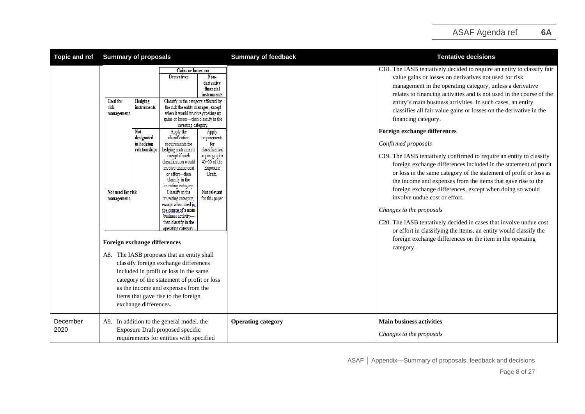| <b>Topic and ref</b> | <b>Summary of proposals</b>                                                                                                                                                                                                                            |                                                                                                                                                                                                                                                                                                                                                                                                                                                                                                                                                                                                                                                                                                                                                                                                                                                                                                                                                                                                           | <b>Summary of feedback</b> | <b>Tentative decisions</b>                                                                                                                                                                                                                                                                                                                                                                                                                                                                                                                                                                                                                                                                                                                                                                                                                                                                                                                                                                                                                                                                                                      |
|----------------------|--------------------------------------------------------------------------------------------------------------------------------------------------------------------------------------------------------------------------------------------------------|-----------------------------------------------------------------------------------------------------------------------------------------------------------------------------------------------------------------------------------------------------------------------------------------------------------------------------------------------------------------------------------------------------------------------------------------------------------------------------------------------------------------------------------------------------------------------------------------------------------------------------------------------------------------------------------------------------------------------------------------------------------------------------------------------------------------------------------------------------------------------------------------------------------------------------------------------------------------------------------------------------------|----------------------------|---------------------------------------------------------------------------------------------------------------------------------------------------------------------------------------------------------------------------------------------------------------------------------------------------------------------------------------------------------------------------------------------------------------------------------------------------------------------------------------------------------------------------------------------------------------------------------------------------------------------------------------------------------------------------------------------------------------------------------------------------------------------------------------------------------------------------------------------------------------------------------------------------------------------------------------------------------------------------------------------------------------------------------------------------------------------------------------------------------------------------------|
|                      | Used for<br>Hedging<br>risk<br>instruments<br>management<br>Not<br>designated<br>in hedging<br>relationships<br>Not used for risk<br>management<br>Foreign exchange differences<br>A8. The IASB proposes that an entity shall<br>exchange differences. | Gains or losses on:<br>Non-<br>Derivatives<br>derivative<br>financial<br>instruments<br>Classify in the category affected by<br>the risk the entity manages, except<br>when it would involve grossing up<br>gains or losses-then classify in the<br>investing category.<br>Apply the<br>Apply<br>classification<br>requirements<br>for<br>requirements for<br>classification<br>hedging instruments<br>except if such<br>in paragraphs<br>$45 - 55$ of the<br>classification would<br>involve undue cost<br>Exposure<br>or effort-then<br>Draft.<br>classify in the<br>investing category.<br>Not relevant<br>Classify in the<br>for this paper<br>investing category,<br>except when used in<br>the course of a main<br>business activity-<br>then classify in the<br>operating category<br>classify foreign exchange differences<br>included in profit or loss in the same<br>category of the statement of profit or loss<br>as the income and expenses from the<br>items that gave rise to the foreign |                            | C18. The IASB tentatively decided to require an entity to classify fair<br>value gains or losses on derivatives not used for risk<br>management in the operating category, unless a derivative<br>relates to financing activities and is not used in the course of the<br>entity's main business activities. In such cases, an entity<br>classifies all fair value gains or losses on the derivative in the<br>financing category.<br><b>Foreign exchange differences</b><br>Confirmed proposals<br>C19. The IASB tentatively confirmed to require an entity to classify<br>foreign exchange differences included in the statement of profit<br>or loss in the same category of the statement of profit or loss as<br>the income and expenses from the items that gave rise to the<br>foreign exchange differences, except when doing so would<br>involve undue cost or effort.<br>Changes to the proposals<br>C20. The IASB tentatively decided in cases that involve undue cost<br>or effort in classifying the items, an entity would classify the<br>foreign exchange differences on the item in the operating<br>category. |
| December<br>2020     | A9. In addition to the general model, the                                                                                                                                                                                                              | Exposure Draft proposed specific<br>requirements for entities with specified                                                                                                                                                                                                                                                                                                                                                                                                                                                                                                                                                                                                                                                                                                                                                                                                                                                                                                                              | <b>Operating category</b>  | <b>Main business activities</b><br>Changes to the proposals                                                                                                                                                                                                                                                                                                                                                                                                                                                                                                                                                                                                                                                                                                                                                                                                                                                                                                                                                                                                                                                                     |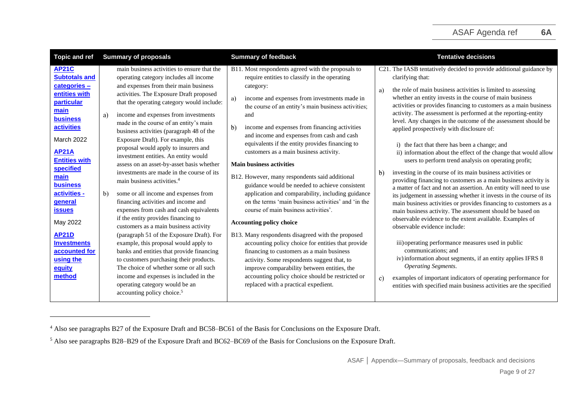| Topic and ref                                                                                                                                                                                                                                                                               | <b>Summary of proposals</b>                                                                                                                                                                                                                                                                                                                                                                                                                                                                                                                                                                                                                                                                                                                                                                  | <b>Summary of feedback</b>                                                                                                                                                                                                                                                                                                                                                                                                                                                                                                                                                                                                                                                                                                        | <b>Tentative decisions</b>                                                                                                                                                                                                                                                                                                                                                                                                                                                                                                                                                                                                                                                                                                                                                                                                                                                                                                                                                                                                                                                            |
|---------------------------------------------------------------------------------------------------------------------------------------------------------------------------------------------------------------------------------------------------------------------------------------------|----------------------------------------------------------------------------------------------------------------------------------------------------------------------------------------------------------------------------------------------------------------------------------------------------------------------------------------------------------------------------------------------------------------------------------------------------------------------------------------------------------------------------------------------------------------------------------------------------------------------------------------------------------------------------------------------------------------------------------------------------------------------------------------------|-----------------------------------------------------------------------------------------------------------------------------------------------------------------------------------------------------------------------------------------------------------------------------------------------------------------------------------------------------------------------------------------------------------------------------------------------------------------------------------------------------------------------------------------------------------------------------------------------------------------------------------------------------------------------------------------------------------------------------------|---------------------------------------------------------------------------------------------------------------------------------------------------------------------------------------------------------------------------------------------------------------------------------------------------------------------------------------------------------------------------------------------------------------------------------------------------------------------------------------------------------------------------------------------------------------------------------------------------------------------------------------------------------------------------------------------------------------------------------------------------------------------------------------------------------------------------------------------------------------------------------------------------------------------------------------------------------------------------------------------------------------------------------------------------------------------------------------|
| <b>AP21C</b><br><b>Subtotals and</b><br>categories -<br>entities with<br>particular<br>main<br><b>business</b><br><b>activities</b><br><b>March 2022</b><br><b>AP21A</b><br><b>Entities with</b><br>specified<br>main<br><b>business</b><br>activities -<br><b>general</b><br><b>issues</b> | main business activities to ensure that the<br>operating category includes all income<br>and expenses from their main business<br>activities. The Exposure Draft proposed<br>that the operating category would include:<br>income and expenses from investments<br>a)<br>made in the course of an entity's main<br>business activities (paragraph 48 of the<br>Exposure Draft). For example, this<br>proposal would apply to insurers and<br>investment entities. An entity would<br>assess on an asset-by-asset basis whether<br>investments are made in the course of its<br>main business activities. <sup>4</sup><br>some or all income and expenses from<br>b)<br>financing activities and income and<br>expenses from cash and cash equivalents<br>if the entity provides financing to | B11. Most respondents agreed with the proposals to<br>require entities to classify in the operating<br>category:<br>income and expenses from investments made in<br>a)<br>the course of an entity's main business activities;<br>and<br>b)<br>income and expenses from financing activities<br>and income and expenses from cash and cash<br>equivalents if the entity provides financing to<br>customers as a main business activity.<br><b>Main business activities</b><br>B12. However, many respondents said additional<br>guidance would be needed to achieve consistent<br>application and comparability, including guidance<br>on the terms 'main business activities' and 'in the<br>course of main business activities'. | C21. The IASB tentatively decided to provide additional guidance by<br>clarifying that:<br>the role of main business activities is limited to assessing<br>a)<br>whether an entity invests in the course of main business<br>activities or provides financing to customers as a main business<br>activity. The assessment is performed at the reporting-entity<br>level. Any changes in the outcome of the assessment should be<br>applied prospectively with disclosure of:<br>i) the fact that there has been a change; and<br>ii) information about the effect of the change that would allow<br>users to perform trend analysis on operating profit;<br>investing in the course of its main business activities or<br>$\mathbf{b}$<br>providing financing to customers as a main business activity is<br>a matter of fact and not an assertion. An entity will need to use<br>its judgement in assessing whether it invests in the course of its<br>main business activities or provides financing to customers as a<br>main business activity. The assessment should be based on |
| May 2022                                                                                                                                                                                                                                                                                    | customers as a main business activity                                                                                                                                                                                                                                                                                                                                                                                                                                                                                                                                                                                                                                                                                                                                                        | Accounting policy choice                                                                                                                                                                                                                                                                                                                                                                                                                                                                                                                                                                                                                                                                                                          | observable evidence to the extent available. Examples of<br>observable evidence include:                                                                                                                                                                                                                                                                                                                                                                                                                                                                                                                                                                                                                                                                                                                                                                                                                                                                                                                                                                                              |
| <b>AP21D</b><br><b>Investments</b><br>accounted for<br>using the<br>equity<br>method                                                                                                                                                                                                        | (paragraph 51 of the Exposure Draft). For<br>example, this proposal would apply to<br>banks and entities that provide financing<br>to customers purchasing their products.<br>The choice of whether some or all such<br>income and expenses is included in the<br>operating category would be an<br>accounting policy choice. <sup>5</sup>                                                                                                                                                                                                                                                                                                                                                                                                                                                   | B13. Many respondents disagreed with the proposed<br>accounting policy choice for entities that provide<br>financing to customers as a main business<br>activity. Some respondents suggest that, to<br>improve comparability between entities, the<br>accounting policy choice should be restricted or<br>replaced with a practical expedient.                                                                                                                                                                                                                                                                                                                                                                                    | iii) operating performance measures used in public<br>communications; and<br>iv) information about segments, if an entity applies IFRS 8<br><b>Operating Segments.</b><br>examples of important indicators of operating performance for<br>c)<br>entities with specified main business activities are the specified                                                                                                                                                                                                                                                                                                                                                                                                                                                                                                                                                                                                                                                                                                                                                                   |

<sup>4</sup> Also see paragraphs B27 of the Exposure Draft and BC58–BC61 of the Basis for Conclusions on the Exposure Draft.

<sup>5</sup> Also see paragraphs B28–B29 of the Exposure Draft and BC62–BC69 of the Basis for Conclusions on the Exposure Draft.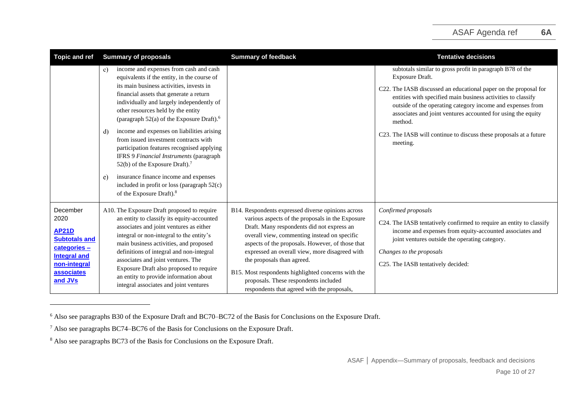| <b>Topic and ref</b>                                                                                                                           | <b>Summary of proposals</b>                                                                                                                                                                                                                                                                                                                                                                                                                                                                                                                                                                                                                                                                              | <b>Summary of feedback</b>                                                                                                                                                                                                                                                                                                                                                                                                                                                              | <b>Tentative decisions</b>                                                                                                                                                                                                                                                                                                                                                                                                                  |
|------------------------------------------------------------------------------------------------------------------------------------------------|----------------------------------------------------------------------------------------------------------------------------------------------------------------------------------------------------------------------------------------------------------------------------------------------------------------------------------------------------------------------------------------------------------------------------------------------------------------------------------------------------------------------------------------------------------------------------------------------------------------------------------------------------------------------------------------------------------|-----------------------------------------------------------------------------------------------------------------------------------------------------------------------------------------------------------------------------------------------------------------------------------------------------------------------------------------------------------------------------------------------------------------------------------------------------------------------------------------|---------------------------------------------------------------------------------------------------------------------------------------------------------------------------------------------------------------------------------------------------------------------------------------------------------------------------------------------------------------------------------------------------------------------------------------------|
|                                                                                                                                                | income and expenses from cash and cash<br>c)<br>equivalents if the entity, in the course of<br>its main business activities, invests in<br>financial assets that generate a return<br>individually and largely independently of<br>other resources held by the entity<br>(paragraph 52(a) of the Exposure Draft). <sup>6</sup><br>income and expenses on liabilities arising<br>d)<br>from issued investment contracts with<br>participation features recognised applying<br>IFRS 9 Financial Instruments (paragraph<br>52(b) of the Exposure Draft). <sup>7</sup><br>insurance finance income and expenses<br>e)<br>included in profit or loss (paragraph 52(c)<br>of the Exposure Draft). <sup>8</sup> |                                                                                                                                                                                                                                                                                                                                                                                                                                                                                         | subtotals similar to gross profit in paragraph B78 of the<br>Exposure Draft.<br>C22. The IASB discussed an educational paper on the proposal for<br>entities with specified main business activities to classify<br>outside of the operating category income and expenses from<br>associates and joint ventures accounted for using the equity<br>method.<br>C23. The IASB will continue to discuss these proposals at a future<br>meeting. |
| December<br>2020<br><b>AP21D</b><br><b>Subtotals and</b><br>categories-<br><b>Integral and</b><br>non-integral<br><b>associates</b><br>and JVs | A10. The Exposure Draft proposed to require<br>an entity to classify its equity-accounted<br>associates and joint ventures as either<br>integral or non-integral to the entity's<br>main business activities, and proposed<br>definitions of integral and non-integral<br>associates and joint ventures. The<br>Exposure Draft also proposed to require<br>an entity to provide information about<br>integral associates and joint ventures                                                                                                                                                                                                                                                              | B14. Respondents expressed diverse opinions across<br>various aspects of the proposals in the Exposure<br>Draft. Many respondents did not express an<br>overall view, commenting instead on specific<br>aspects of the proposals. However, of those that<br>expressed an overall view, more disagreed with<br>the proposals than agreed.<br>B15. Most respondents highlighted concerns with the<br>proposals. These respondents included<br>respondents that agreed with the proposals, | Confirmed proposals<br>C24. The IASB tentatively confirmed to require an entity to classify<br>income and expenses from equity-accounted associates and<br>joint ventures outside the operating category.<br>Changes to the proposals<br>C25. The IASB tentatively decided:                                                                                                                                                                 |

<sup>6</sup> Also see paragraphs B30 of the Exposure Draft and BC70–BC72 of the Basis for Conclusions on the Exposure Draft.

<sup>7</sup> Also see paragraphs BC74–BC76 of the Basis for Conclusions on the Exposure Draft.

<sup>&</sup>lt;sup>8</sup> Also see paragraphs BC73 of the Basis for Conclusions on the Exposure Draft.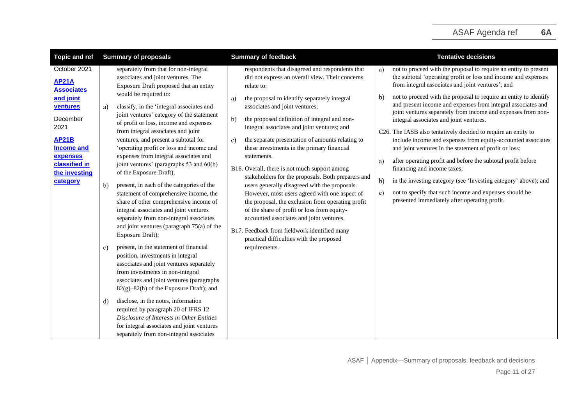| October 2021<br>separately from that for non-integral<br>respondents that disagreed and respondents that<br>not to proceed with the proposal to require an entity to present<br>a)<br>the subtotal 'operating profit or loss and income and expenses<br>associates and joint ventures. The<br>did not express an overall view. Their concerns<br><b>AP21A</b><br>from integral associates and joint ventures'; and<br>Exposure Draft proposed that an entity<br>relate to:<br><b>Associates</b><br>would be required to:<br>not to proceed with the proposal to require an entity to identify<br>$\mathbf{b}$<br>and joint<br>the proposal to identify separately integral<br>a)<br>and present income and expenses from integral associates and<br>associates and joint ventures;<br>classify, in the 'integral associates and<br>ventures<br>a)<br>joint ventures separately from income and expenses from non-<br>joint ventures' category of the statement<br>December<br>the proposed definition of integral and non-<br>$\mathbf{b}$<br>integral associates and joint ventures.<br>of profit or loss, income and expenses<br>2021<br>integral associates and joint ventures; and<br>from integral associates and joint<br>C26. The IASB also tentatively decided to require an entity to<br>ventures, and present a subtotal for<br><b>AP21B</b><br>the separate presentation of amounts relating to<br>include income and expenses from equity-accounted associates<br>c)<br>'operating profit or loss and income and<br>these investments in the primary financial<br><b>Income and</b><br>and joint ventures in the statement of profit or loss:<br>expenses from integral associates and<br>expenses<br>statements.<br>after operating profit and before the subtotal profit before<br>a)<br>classified in<br>joint ventures' (paragraphs 53 and 60(b)<br>B16. Overall, there is not much support among<br>financing and income taxes;<br>the investing<br>of the Exposure Draft);<br>stakeholders for the proposals. Both preparers and<br>in the investing category (see 'Investing category' above); and<br>$\mathbf{b}$<br>category<br>present, in each of the categories of the<br>users generally disagreed with the proposals.<br>b)<br>not to specify that such income and expenses should be<br>statement of comprehensive income, the<br>However, most users agreed with one aspect of<br>c)<br>presented immediately after operating profit.<br>share of other comprehensive income of<br>the proposal, the exclusion from operating profit<br>integral associates and joint ventures<br>of the share of profit or loss from equity-<br>separately from non-integral associates<br>accounted associates and joint ventures.<br>and joint ventures (paragraph $75(a)$ of the<br>B17. Feedback from fieldwork identified many<br>Exposure Draft);<br>practical difficulties with the proposed<br>present, in the statement of financial<br>requirements.<br>c)<br>position, investments in integral<br>associates and joint ventures separately<br>from investments in non-integral<br>associates and joint ventures (paragraphs<br>$82(g)-82(h)$ of the Exposure Draft); and<br>disclose, in the notes, information<br>d)<br>required by paragraph 20 of IFRS 12<br>Disclosure of Interests in Other Entities | <b>Topic and ref</b> | <b>Summary of proposals</b>                | <b>Summary of feedback</b> | <b>Tentative decisions</b> |
|-----------------------------------------------------------------------------------------------------------------------------------------------------------------------------------------------------------------------------------------------------------------------------------------------------------------------------------------------------------------------------------------------------------------------------------------------------------------------------------------------------------------------------------------------------------------------------------------------------------------------------------------------------------------------------------------------------------------------------------------------------------------------------------------------------------------------------------------------------------------------------------------------------------------------------------------------------------------------------------------------------------------------------------------------------------------------------------------------------------------------------------------------------------------------------------------------------------------------------------------------------------------------------------------------------------------------------------------------------------------------------------------------------------------------------------------------------------------------------------------------------------------------------------------------------------------------------------------------------------------------------------------------------------------------------------------------------------------------------------------------------------------------------------------------------------------------------------------------------------------------------------------------------------------------------------------------------------------------------------------------------------------------------------------------------------------------------------------------------------------------------------------------------------------------------------------------------------------------------------------------------------------------------------------------------------------------------------------------------------------------------------------------------------------------------------------------------------------------------------------------------------------------------------------------------------------------------------------------------------------------------------------------------------------------------------------------------------------------------------------------------------------------------------------------------------------------------------------------------------------------------------------------------------------------------------------------------------------------------------------------------------------------------------------------------------------------------------------------------------------------------------------------------------------------------------------------------------------------------------------------------------------------------------------------------------------------------------|----------------------|--------------------------------------------|----------------------------|----------------------------|
|                                                                                                                                                                                                                                                                                                                                                                                                                                                                                                                                                                                                                                                                                                                                                                                                                                                                                                                                                                                                                                                                                                                                                                                                                                                                                                                                                                                                                                                                                                                                                                                                                                                                                                                                                                                                                                                                                                                                                                                                                                                                                                                                                                                                                                                                                                                                                                                                                                                                                                                                                                                                                                                                                                                                                                                                                                                                                                                                                                                                                                                                                                                                                                                                                                                                                                                                   |                      |                                            |                            |                            |
|                                                                                                                                                                                                                                                                                                                                                                                                                                                                                                                                                                                                                                                                                                                                                                                                                                                                                                                                                                                                                                                                                                                                                                                                                                                                                                                                                                                                                                                                                                                                                                                                                                                                                                                                                                                                                                                                                                                                                                                                                                                                                                                                                                                                                                                                                                                                                                                                                                                                                                                                                                                                                                                                                                                                                                                                                                                                                                                                                                                                                                                                                                                                                                                                                                                                                                                                   |                      | for integral associates and joint ventures |                            |                            |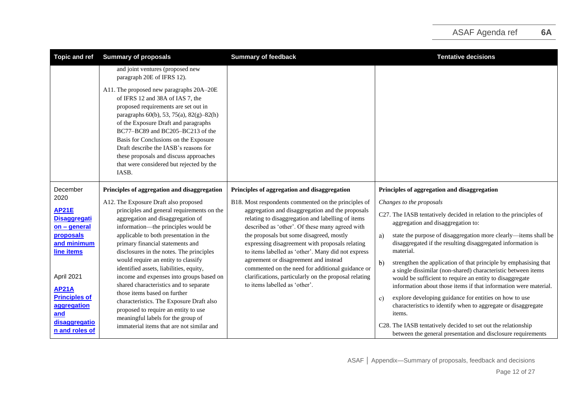| <b>Topic and ref</b>                | <b>Summary of proposals</b>                                                                                                                                                                                                                                                                                                                                                                                                   | <b>Summary of feedback</b>                                                                           | <b>Tentative decisions</b>                                                                                                |
|-------------------------------------|-------------------------------------------------------------------------------------------------------------------------------------------------------------------------------------------------------------------------------------------------------------------------------------------------------------------------------------------------------------------------------------------------------------------------------|------------------------------------------------------------------------------------------------------|---------------------------------------------------------------------------------------------------------------------------|
|                                     | and joint ventures (proposed new<br>paragraph 20E of IFRS 12).                                                                                                                                                                                                                                                                                                                                                                |                                                                                                      |                                                                                                                           |
|                                     | A11. The proposed new paragraphs 20A-20E<br>of IFRS 12 and 38A of IAS 7, the<br>proposed requirements are set out in<br>paragraphs 60(b), 53, 75(a), 82(g)-82(h)<br>of the Exposure Draft and paragraphs<br>BC77-BC89 and BC205-BC213 of the<br>Basis for Conclusions on the Exposure<br>Draft describe the IASB's reasons for<br>these proposals and discuss approaches<br>that were considered but rejected by the<br>IASB. |                                                                                                      |                                                                                                                           |
| December                            | Principles of aggregation and disaggregation                                                                                                                                                                                                                                                                                                                                                                                  | Principles of aggregation and disaggregation                                                         | Principles of aggregation and disaggregation                                                                              |
| 2020                                | A12. The Exposure Draft also proposed                                                                                                                                                                                                                                                                                                                                                                                         | B18. Most respondents commented on the principles of                                                 | Changes to the proposals                                                                                                  |
| <b>AP21E</b>                        | principles and general requirements on the                                                                                                                                                                                                                                                                                                                                                                                    | aggregation and disaggregation and the proposals                                                     | C27. The IASB tentatively decided in relation to the principles of                                                        |
| <b>Disaggregati</b><br>on - general | aggregation and disaggregation of<br>information—the principles would be                                                                                                                                                                                                                                                                                                                                                      | relating to disaggregation and labelling of items<br>described as 'other'. Of these many agreed with | aggregation and disaggregation to:                                                                                        |
| proposals                           | applicable to both presentation in the                                                                                                                                                                                                                                                                                                                                                                                        | the proposals but some disagreed, mostly                                                             | state the purpose of disaggregation more clearly—items shall be<br>a)                                                     |
| and minimum                         | primary financial statements and                                                                                                                                                                                                                                                                                                                                                                                              | expressing disagreement with proposals relating                                                      | disaggregated if the resulting disaggregated information is                                                               |
| line items                          | disclosures in the notes. The principles                                                                                                                                                                                                                                                                                                                                                                                      | to items labelled as 'other'. Many did not express                                                   | material.                                                                                                                 |
|                                     | would require an entity to classify<br>identified assets, liabilities, equity,                                                                                                                                                                                                                                                                                                                                                | agreement or disagreement and instead<br>commented on the need for additional guidance or            | b)<br>strengthen the application of that principle by emphasising that                                                    |
| April 2021                          | income and expenses into groups based on                                                                                                                                                                                                                                                                                                                                                                                      | clarifications, particularly on the proposal relating                                                | a single dissimilar (non-shared) characteristic between items<br>would be sufficient to require an entity to disaggregate |
| <b>AP21A</b>                        | shared characteristics and to separate                                                                                                                                                                                                                                                                                                                                                                                        | to items labelled as 'other'.                                                                        | information about those items if that information were material.                                                          |
| <b>Principles of</b>                | those items based on further                                                                                                                                                                                                                                                                                                                                                                                                  |                                                                                                      | explore developing guidance for entities on how to use<br>c)                                                              |
| aggregation                         | characteristics. The Exposure Draft also<br>proposed to require an entity to use                                                                                                                                                                                                                                                                                                                                              |                                                                                                      | characteristics to identify when to aggregate or disaggregate                                                             |
| and                                 | meaningful labels for the group of                                                                                                                                                                                                                                                                                                                                                                                            |                                                                                                      | items.                                                                                                                    |
| disaggregatio<br>n and roles of     | immaterial items that are not similar and                                                                                                                                                                                                                                                                                                                                                                                     |                                                                                                      | C28. The IASB tentatively decided to set out the relationship                                                             |
|                                     |                                                                                                                                                                                                                                                                                                                                                                                                                               |                                                                                                      | between the general presentation and disclosure requirements                                                              |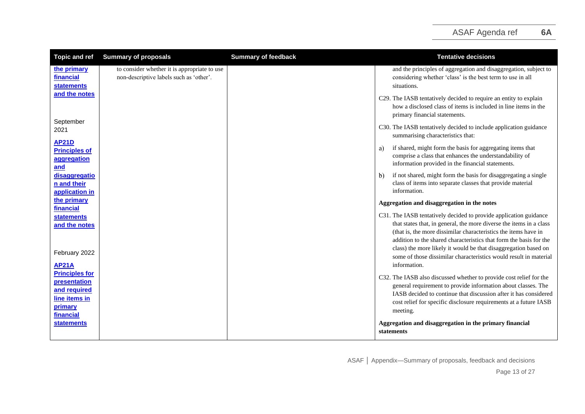| <b>Topic and ref</b>                                                                           | <b>Summary of proposals</b>                                                             | <b>Summary of feedback</b> | <b>Tentative decisions</b>                                                                                                                                                                                                                                                                                                                           |
|------------------------------------------------------------------------------------------------|-----------------------------------------------------------------------------------------|----------------------------|------------------------------------------------------------------------------------------------------------------------------------------------------------------------------------------------------------------------------------------------------------------------------------------------------------------------------------------------------|
| the primary<br>financial<br><b>statements</b>                                                  | to consider whether it is appropriate to use<br>non-descriptive labels such as 'other'. |                            | and the principles of aggregation and disaggregation, subject to<br>considering whether 'class' is the best term to use in all<br>situations.                                                                                                                                                                                                        |
| and the notes                                                                                  |                                                                                         |                            | C29. The IASB tentatively decided to require an entity to explain<br>how a disclosed class of items is included in line items in the<br>primary financial statements.                                                                                                                                                                                |
| September<br>2021                                                                              |                                                                                         |                            | C30. The IASB tentatively decided to include application guidance<br>summarising characteristics that:                                                                                                                                                                                                                                               |
| <b>AP21D</b><br><b>Principles of</b><br>aggregation<br>and                                     |                                                                                         |                            | if shared, might form the basis for aggregating items that<br>a)<br>comprise a class that enhances the understandability of<br>information provided in the financial statements.                                                                                                                                                                     |
| disaggregatio<br>n and their<br>application in                                                 |                                                                                         |                            | if not shared, might form the basis for disaggregating a single<br>$\mathbf{b}$<br>class of items into separate classes that provide material<br>information.                                                                                                                                                                                        |
| the primary<br>financial                                                                       |                                                                                         |                            | Aggregation and disaggregation in the notes                                                                                                                                                                                                                                                                                                          |
| <b>statements</b><br>and the notes                                                             |                                                                                         |                            | C31. The IASB tentatively decided to provide application guidance<br>that states that, in general, the more diverse the items in a class<br>(that is, the more dissimilar characteristics the items have in<br>addition to the shared characteristics that form the basis for the<br>class) the more likely it would be that disaggregation based on |
| February 2022<br><b>AP21A</b>                                                                  |                                                                                         |                            | some of those dissimilar characteristics would result in material<br>information.                                                                                                                                                                                                                                                                    |
| <b>Principles for</b><br>presentation<br>and required<br>line items in<br>primary<br>financial |                                                                                         |                            | C32. The IASB also discussed whether to provide cost relief for the<br>general requirement to provide information about classes. The<br>IASB decided to continue that discussion after it has considered<br>cost relief for specific disclosure requirements at a future IASB<br>meeting.                                                            |
| <b>statements</b>                                                                              |                                                                                         |                            | Aggregation and disaggregation in the primary financial<br>statements                                                                                                                                                                                                                                                                                |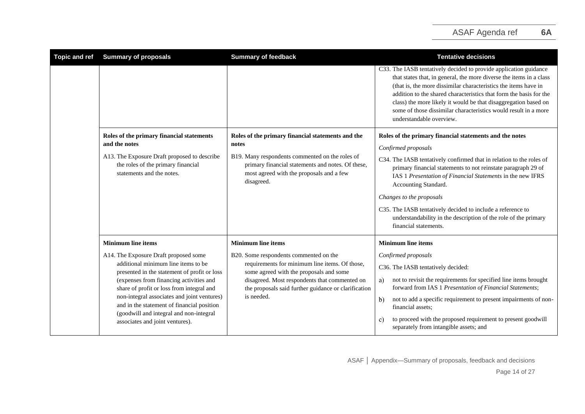| <b>Topic and ref</b> | <b>Summary of proposals</b>                                                                                                                                                                                                                                                                                                                                                                     | <b>Summary of feedback</b>                                                                                                                                     | <b>Tentative decisions</b>                                                                                                                                                                                                                                                                                                                                                                                                                          |
|----------------------|-------------------------------------------------------------------------------------------------------------------------------------------------------------------------------------------------------------------------------------------------------------------------------------------------------------------------------------------------------------------------------------------------|----------------------------------------------------------------------------------------------------------------------------------------------------------------|-----------------------------------------------------------------------------------------------------------------------------------------------------------------------------------------------------------------------------------------------------------------------------------------------------------------------------------------------------------------------------------------------------------------------------------------------------|
|                      |                                                                                                                                                                                                                                                                                                                                                                                                 |                                                                                                                                                                | C33. The IASB tentatively decided to provide application guidance<br>that states that, in general, the more diverse the items in a class<br>(that is, the more dissimilar characteristics the items have in<br>addition to the shared characteristics that form the basis for the<br>class) the more likely it would be that disaggregation based on<br>some of those dissimilar characteristics would result in a more<br>understandable overview. |
|                      | Roles of the primary financial statements<br>and the notes                                                                                                                                                                                                                                                                                                                                      | Roles of the primary financial statements and the<br>notes                                                                                                     | Roles of the primary financial statements and the notes                                                                                                                                                                                                                                                                                                                                                                                             |
|                      | A13. The Exposure Draft proposed to describe<br>the roles of the primary financial<br>statements and the notes.                                                                                                                                                                                                                                                                                 | B19. Many respondents commented on the roles of<br>primary financial statements and notes. Of these,<br>most agreed with the proposals and a few<br>disagreed. | Confirmed proposals<br>C34. The IASB tentatively confirmed that in relation to the roles of<br>primary financial statements to not reinstate paragraph 29 of<br>IAS 1 Presentation of Financial Statements in the new IFRS<br>Accounting Standard.                                                                                                                                                                                                  |
|                      |                                                                                                                                                                                                                                                                                                                                                                                                 |                                                                                                                                                                | Changes to the proposals                                                                                                                                                                                                                                                                                                                                                                                                                            |
|                      |                                                                                                                                                                                                                                                                                                                                                                                                 |                                                                                                                                                                | C35. The IASB tentatively decided to include a reference to<br>understandability in the description of the role of the primary<br>financial statements.                                                                                                                                                                                                                                                                                             |
|                      | <b>Minimum line items</b>                                                                                                                                                                                                                                                                                                                                                                       | <b>Minimum line items</b>                                                                                                                                      | <b>Minimum line items</b>                                                                                                                                                                                                                                                                                                                                                                                                                           |
|                      | A14. The Exposure Draft proposed some<br>additional minimum line items to be<br>presented in the statement of profit or loss<br>(expenses from financing activities and<br>share of profit or loss from integral and<br>non-integral associates and joint ventures)<br>and in the statement of financial position<br>(goodwill and integral and non-integral<br>associates and joint ventures). | B20. Some respondents commented on the                                                                                                                         | Confirmed proposals                                                                                                                                                                                                                                                                                                                                                                                                                                 |
|                      |                                                                                                                                                                                                                                                                                                                                                                                                 | requirements for minimum line items. Of those,<br>some agreed with the proposals and some                                                                      | C36. The IASB tentatively decided:                                                                                                                                                                                                                                                                                                                                                                                                                  |
|                      |                                                                                                                                                                                                                                                                                                                                                                                                 | disagreed. Most respondents that commented on<br>the proposals said further guidance or clarification<br>is needed.                                            | not to revisit the requirements for specified line items brought<br>a)<br>forward from IAS 1 Presentation of Financial Statements;                                                                                                                                                                                                                                                                                                                  |
|                      |                                                                                                                                                                                                                                                                                                                                                                                                 |                                                                                                                                                                | not to add a specific requirement to present impairments of non-<br>b)<br>financial assets:                                                                                                                                                                                                                                                                                                                                                         |
|                      |                                                                                                                                                                                                                                                                                                                                                                                                 |                                                                                                                                                                | to proceed with the proposed requirement to present goodwill<br>C)<br>separately from intangible assets; and                                                                                                                                                                                                                                                                                                                                        |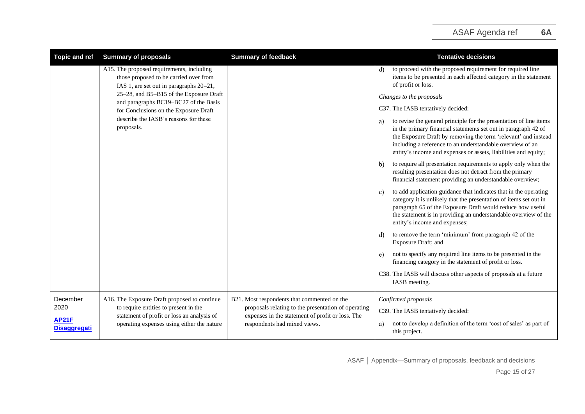| <b>Topic and ref</b>                | <b>Summary of proposals</b>                                                                                                    | <b>Summary of feedback</b>                                                                              | <b>Tentative decisions</b>                                                                                                                                                                                                                                                                                                                   |
|-------------------------------------|--------------------------------------------------------------------------------------------------------------------------------|---------------------------------------------------------------------------------------------------------|----------------------------------------------------------------------------------------------------------------------------------------------------------------------------------------------------------------------------------------------------------------------------------------------------------------------------------------------|
|                                     | A15. The proposed requirements, including<br>those proposed to be carried over from<br>IAS 1, are set out in paragraphs 20–21, |                                                                                                         | to proceed with the proposed requirement for required line<br>d)<br>items to be presented in each affected category in the statement<br>of profit or loss.                                                                                                                                                                                   |
|                                     | 25-28, and B5-B15 of the Exposure Draft<br>and paragraphs BC19-BC27 of the Basis                                               |                                                                                                         | Changes to the proposals                                                                                                                                                                                                                                                                                                                     |
|                                     | for Conclusions on the Exposure Draft                                                                                          |                                                                                                         | C37. The IASB tentatively decided:                                                                                                                                                                                                                                                                                                           |
|                                     | describe the IASB's reasons for these<br>proposals.                                                                            |                                                                                                         | to revise the general principle for the presentation of line items<br>a)<br>in the primary financial statements set out in paragraph 42 of<br>the Exposure Draft by removing the term 'relevant' and instead<br>including a reference to an understandable overview of an<br>entity's income and expenses or assets, liabilities and equity; |
|                                     |                                                                                                                                |                                                                                                         | to require all presentation requirements to apply only when the<br>b)<br>resulting presentation does not detract from the primary<br>financial statement providing an understandable overview;                                                                                                                                               |
|                                     |                                                                                                                                |                                                                                                         | to add application guidance that indicates that in the operating<br>C)<br>category it is unlikely that the presentation of items set out in<br>paragraph 65 of the Exposure Draft would reduce how useful<br>the statement is in providing an understandable overview of the<br>entity's income and expenses;                                |
|                                     |                                                                                                                                |                                                                                                         | to remove the term 'minimum' from paragraph 42 of the<br>d)<br>Exposure Draft; and                                                                                                                                                                                                                                                           |
|                                     |                                                                                                                                |                                                                                                         | not to specify any required line items to be presented in the<br>e)<br>financing category in the statement of profit or loss.                                                                                                                                                                                                                |
|                                     |                                                                                                                                |                                                                                                         | C38. The IASB will discuss other aspects of proposals at a future<br>IASB meeting.                                                                                                                                                                                                                                                           |
| December                            | A16. The Exposure Draft proposed to continue                                                                                   | B21. Most respondents that commented on the                                                             | Confirmed proposals                                                                                                                                                                                                                                                                                                                          |
| 2020                                | to require entities to present in the<br>statement of profit or loss an analysis of                                            | proposals relating to the presentation of operating<br>expenses in the statement of profit or loss. The | C39. The IASB tentatively decided:                                                                                                                                                                                                                                                                                                           |
| <b>AP21F</b><br><b>Disaggregati</b> | operating expenses using either the nature                                                                                     | respondents had mixed views.                                                                            | not to develop a definition of the term 'cost of sales' as part of<br>a)<br>this project.                                                                                                                                                                                                                                                    |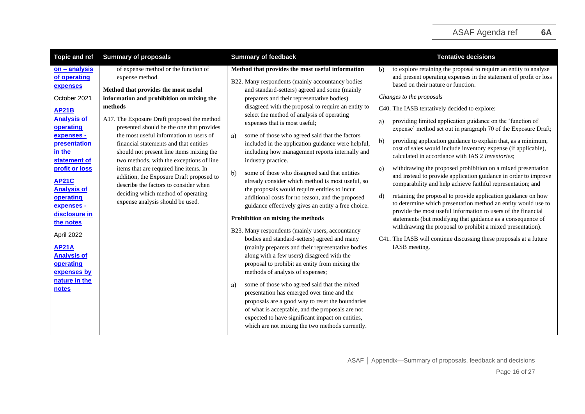| <b>Topic and ref</b>                                                                                                                                                                                                                                                                                                                                                                              | <b>Summary of proposals</b>                                                                                                                                                                                                                                                                                                                                                                                                                                                                                                                                                                                                               | <b>Summary of feedback</b>                                                                                                                                                                                                                                                                                                                                                                                                                                                                                                                                                                                                                                                                                                                                                                                                                                                                                                                                                                                                                                                                                                                                                                                                                                                                                                                                                                                                                                              | <b>Tentative decisions</b>                                                                                                                                                                                                                                                                                                                                                                                                                                                                                                                                                                                                                                                                                                                                                                                                                                                                                                                                                                                                                                                                                                                                                                                                                                   |
|---------------------------------------------------------------------------------------------------------------------------------------------------------------------------------------------------------------------------------------------------------------------------------------------------------------------------------------------------------------------------------------------------|-------------------------------------------------------------------------------------------------------------------------------------------------------------------------------------------------------------------------------------------------------------------------------------------------------------------------------------------------------------------------------------------------------------------------------------------------------------------------------------------------------------------------------------------------------------------------------------------------------------------------------------------|-------------------------------------------------------------------------------------------------------------------------------------------------------------------------------------------------------------------------------------------------------------------------------------------------------------------------------------------------------------------------------------------------------------------------------------------------------------------------------------------------------------------------------------------------------------------------------------------------------------------------------------------------------------------------------------------------------------------------------------------------------------------------------------------------------------------------------------------------------------------------------------------------------------------------------------------------------------------------------------------------------------------------------------------------------------------------------------------------------------------------------------------------------------------------------------------------------------------------------------------------------------------------------------------------------------------------------------------------------------------------------------------------------------------------------------------------------------------------|--------------------------------------------------------------------------------------------------------------------------------------------------------------------------------------------------------------------------------------------------------------------------------------------------------------------------------------------------------------------------------------------------------------------------------------------------------------------------------------------------------------------------------------------------------------------------------------------------------------------------------------------------------------------------------------------------------------------------------------------------------------------------------------------------------------------------------------------------------------------------------------------------------------------------------------------------------------------------------------------------------------------------------------------------------------------------------------------------------------------------------------------------------------------------------------------------------------------------------------------------------------|
| $on - analysis$<br>of operating<br>expenses<br>October 2021<br><b>AP21B</b><br><b>Analysis of</b><br>operating<br>expenses -<br>presentation<br>in the<br>statement of<br>profit or loss<br><b>AP21C</b><br><b>Analysis of</b><br>operating<br>expenses -<br>disclosure in<br>the notes<br>April 2022<br><b>AP21A</b><br><b>Analysis of</b><br>operating<br>expenses by<br>nature in the<br>notes | of expense method or the function of<br>expense method.<br>Method that provides the most useful<br>information and prohibition on mixing the<br>methods<br>A17. The Exposure Draft proposed the method<br>presented should be the one that provides<br>the most useful information to users of<br>financial statements and that entities<br>should not present line items mixing the<br>two methods, with the exceptions of line<br>items that are required line items. In<br>addition, the Exposure Draft proposed to<br>describe the factors to consider when<br>deciding which method of operating<br>expense analysis should be used. | Method that provides the most useful information<br>B22. Many respondents (mainly accountancy bodies<br>and standard-setters) agreed and some (mainly<br>preparers and their representative bodies)<br>disagreed with the proposal to require an entity to<br>select the method of analysis of operating<br>expenses that is most useful;<br>some of those who agreed said that the factors<br>a)<br>included in the application guidance were helpful,<br>including how management reports internally and<br>industry practice.<br>$\mathbf{b}$<br>some of those who disagreed said that entities<br>already consider which method is most useful, so<br>the proposals would require entities to incur<br>additional costs for no reason, and the proposed<br>guidance effectively gives an entity a free choice.<br>Prohibition on mixing the methods<br>B23. Many respondents (mainly users, accountancy<br>bodies and standard-setters) agreed and many<br>(mainly preparers and their representative bodies<br>along with a few users) disagreed with the<br>proposal to prohibit an entity from mixing the<br>methods of analysis of expenses;<br>some of those who agreed said that the mixed<br>a)<br>presentation has emerged over time and the<br>proposals are a good way to reset the boundaries<br>of what is acceptable, and the proposals are not<br>expected to have significant impact on entities,<br>which are not mixing the two methods currently. | to explore retaining the proposal to require an entity to analyse<br>$\mathbf{b}$<br>and present operating expenses in the statement of profit or loss<br>based on their nature or function.<br>Changes to the proposals<br>C40. The IASB tentatively decided to explore:<br>providing limited application guidance on the 'function of<br>a)<br>expense' method set out in paragraph 70 of the Exposure Draft;<br>$\mathbf{b}$<br>providing application guidance to explain that, as a minimum,<br>cost of sales would include inventory expense (if applicable),<br>calculated in accordance with IAS 2 Inventories;<br>withdrawing the proposed prohibition on a mixed presentation<br>c)<br>and instead to provide application guidance in order to improve<br>comparability and help achieve faithful representation; and<br>retaining the proposal to provide application guidance on how<br>d)<br>to determine which presentation method an entity would use to<br>provide the most useful information to users of the financial<br>statements (but modifying that guidance as a consequence of<br>withdrawing the proposal to prohibit a mixed presentation).<br>C41. The IASB will continue discussing these proposals at a future<br>IASB meeting. |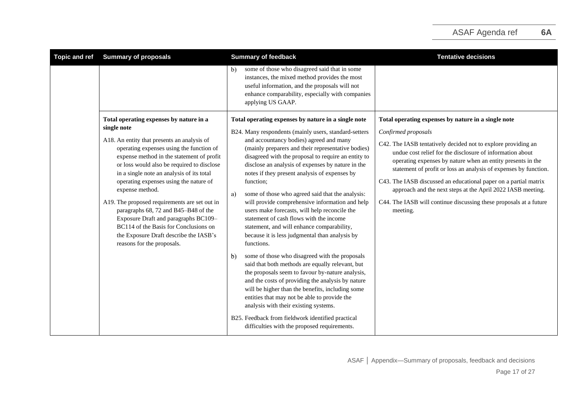| <b>Topic and ref</b> | <b>Summary of proposals</b>                                                                                                                                                                                                                                                                                                                                                                                                                                                                                                                                                                              | <b>Summary of feedback</b>                                                                                                                                                                                                                                                                                                                                                                                                                                                                                                                                                                                                                                                                                                                                                                                                                                                                                                                                                                                                                        | <b>Tentative decisions</b>                                                                                                                                                                                                                                                                                                                                                                                                                                                                                                                                       |
|----------------------|----------------------------------------------------------------------------------------------------------------------------------------------------------------------------------------------------------------------------------------------------------------------------------------------------------------------------------------------------------------------------------------------------------------------------------------------------------------------------------------------------------------------------------------------------------------------------------------------------------|---------------------------------------------------------------------------------------------------------------------------------------------------------------------------------------------------------------------------------------------------------------------------------------------------------------------------------------------------------------------------------------------------------------------------------------------------------------------------------------------------------------------------------------------------------------------------------------------------------------------------------------------------------------------------------------------------------------------------------------------------------------------------------------------------------------------------------------------------------------------------------------------------------------------------------------------------------------------------------------------------------------------------------------------------|------------------------------------------------------------------------------------------------------------------------------------------------------------------------------------------------------------------------------------------------------------------------------------------------------------------------------------------------------------------------------------------------------------------------------------------------------------------------------------------------------------------------------------------------------------------|
|                      |                                                                                                                                                                                                                                                                                                                                                                                                                                                                                                                                                                                                          | some of those who disagreed said that in some<br>b).<br>instances, the mixed method provides the most<br>useful information, and the proposals will not<br>enhance comparability, especially with companies<br>applying US GAAP.                                                                                                                                                                                                                                                                                                                                                                                                                                                                                                                                                                                                                                                                                                                                                                                                                  |                                                                                                                                                                                                                                                                                                                                                                                                                                                                                                                                                                  |
|                      | Total operating expenses by nature in a<br>single note<br>A18. An entity that presents an analysis of<br>operating expenses using the function of<br>expense method in the statement of profit<br>or loss would also be required to disclose<br>in a single note an analysis of its total<br>operating expenses using the nature of<br>expense method.<br>A19. The proposed requirements are set out in<br>paragraphs 68, 72 and B45-B48 of the<br>Exposure Draft and paragraphs BC109-<br>BC114 of the Basis for Conclusions on<br>the Exposure Draft describe the IASB's<br>reasons for the proposals. | Total operating expenses by nature in a single note<br>B24. Many respondents (mainly users, standard-setters<br>and accountancy bodies) agreed and many<br>(mainly preparers and their representative bodies)<br>disagreed with the proposal to require an entity to<br>disclose an analysis of expenses by nature in the<br>notes if they present analysis of expenses by<br>function;<br>some of those who agreed said that the analysis:<br>a)<br>will provide comprehensive information and help<br>users make forecasts, will help reconcile the<br>statement of cash flows with the income<br>statement, and will enhance comparability,<br>because it is less judgmental than analysis by<br>functions.<br>some of those who disagreed with the proposals<br>$\mathbf{b}$<br>said that both methods are equally relevant, but<br>the proposals seem to favour by-nature analysis,<br>and the costs of providing the analysis by nature<br>will be higher than the benefits, including some<br>entities that may not be able to provide the | Total operating expenses by nature in a single note<br>Confirmed proposals<br>C42. The IASB tentatively decided not to explore providing an<br>undue cost relief for the disclosure of information about<br>operating expenses by nature when an entity presents in the<br>statement of profit or loss an analysis of expenses by function.<br>C43. The IASB discussed an educational paper on a partial matrix<br>approach and the next steps at the April 2022 IASB meeting.<br>C44. The IASB will continue discussing these proposals at a future<br>meeting. |
|                      |                                                                                                                                                                                                                                                                                                                                                                                                                                                                                                                                                                                                          | analysis with their existing systems.<br>B25. Feedback from fieldwork identified practical<br>difficulties with the proposed requirements.                                                                                                                                                                                                                                                                                                                                                                                                                                                                                                                                                                                                                                                                                                                                                                                                                                                                                                        |                                                                                                                                                                                                                                                                                                                                                                                                                                                                                                                                                                  |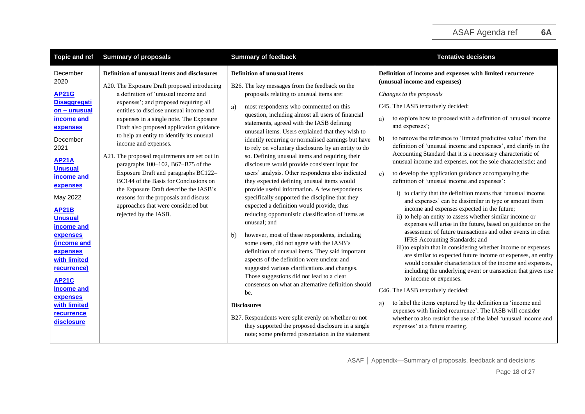| <b>Topic and ref</b>                                                                                                                                                                                                                                                                                                | <b>Summary of proposals</b>                                                                                                                                                                                                                                                                                                                                                                                                                                                                                                                                                                                                                                                                                   | <b>Summary of feedback</b>                                                                                                                                                                                                                                                                                                                                                                                                                                                                                                                                                                                                                                                                                                                                                                                                                                                                                                                                                                                                                                                                                                                       | <b>Tentative decisions</b>                                                                                                                                                                                                                                                                                                                                                                                                                                                                                                                                                                                                                                                                                                                                                                                                                                                                                                                                                                                                                                                                                                                                                                                                                                                                                                        |
|---------------------------------------------------------------------------------------------------------------------------------------------------------------------------------------------------------------------------------------------------------------------------------------------------------------------|---------------------------------------------------------------------------------------------------------------------------------------------------------------------------------------------------------------------------------------------------------------------------------------------------------------------------------------------------------------------------------------------------------------------------------------------------------------------------------------------------------------------------------------------------------------------------------------------------------------------------------------------------------------------------------------------------------------|--------------------------------------------------------------------------------------------------------------------------------------------------------------------------------------------------------------------------------------------------------------------------------------------------------------------------------------------------------------------------------------------------------------------------------------------------------------------------------------------------------------------------------------------------------------------------------------------------------------------------------------------------------------------------------------------------------------------------------------------------------------------------------------------------------------------------------------------------------------------------------------------------------------------------------------------------------------------------------------------------------------------------------------------------------------------------------------------------------------------------------------------------|-----------------------------------------------------------------------------------------------------------------------------------------------------------------------------------------------------------------------------------------------------------------------------------------------------------------------------------------------------------------------------------------------------------------------------------------------------------------------------------------------------------------------------------------------------------------------------------------------------------------------------------------------------------------------------------------------------------------------------------------------------------------------------------------------------------------------------------------------------------------------------------------------------------------------------------------------------------------------------------------------------------------------------------------------------------------------------------------------------------------------------------------------------------------------------------------------------------------------------------------------------------------------------------------------------------------------------------|
| December<br>2020<br><b>AP21G</b><br><b>Disaggregati</b><br>on - unusual<br>income and<br>expenses<br>December<br>2021<br><b>AP21A</b><br><b>Unusual</b><br>income and<br>expenses<br>May 2022<br><b>AP21B</b><br><b>Unusual</b><br>income and<br>expenses<br>(income and<br>expenses<br>with limited<br>recurrence) | Definition of unusual items and disclosures<br>A20. The Exposure Draft proposed introducing<br>a definition of 'unusual income and<br>expenses'; and proposed requiring all<br>entities to disclose unusual income and<br>expenses in a single note. The Exposure<br>Draft also proposed application guidance<br>to help an entity to identify its unusual<br>income and expenses.<br>A21. The proposed requirements are set out in<br>paragraphs 100-102, B67-B75 of the<br>Exposure Draft and paragraphs BC122-<br>BC144 of the Basis for Conclusions on<br>the Exposure Draft describe the IASB's<br>reasons for the proposals and discuss<br>approaches that were considered but<br>rejected by the IASB. | <b>Definition of unusual items</b><br>B26. The key messages from the feedback on the<br>proposals relating to unusual items are:<br>most respondents who commented on this<br>a)<br>question, including almost all users of financial<br>statements, agreed with the IASB defining<br>unusual items. Users explained that they wish to<br>identify recurring or normalised earnings but have<br>to rely on voluntary disclosures by an entity to do<br>so. Defining unusual items and requiring their<br>disclosure would provide consistent input for<br>users' analysis. Other respondents also indicated<br>they expected defining unusual items would<br>provide useful information. A few respondents<br>specifically supported the discipline that they<br>expected a definition would provide, thus<br>reducing opportunistic classification of items as<br>unusual; and<br>however, most of these respondents, including<br>$\mathbf{b}$<br>some users, did not agree with the IASB's<br>definition of unusual items. They said important<br>aspects of the definition were unclear and<br>suggested various clarifications and changes. | Definition of income and expenses with limited recurrence<br>(unusual income and expenses)<br>Changes to the proposals<br>C45. The IASB tentatively decided:<br>to explore how to proceed with a definition of 'unusual income<br>a)<br>and expenses';<br>to remove the reference to 'limited predictive value' from the<br>$\mathbf{b}$<br>definition of 'unusual income and expenses', and clarify in the<br>Accounting Standard that it is a necessary characteristic of<br>unusual income and expenses, not the sole characteristic; and<br>to develop the application guidance accompanying the<br>c)<br>definition of 'unusual income and expenses':<br>i) to clarify that the definition means that 'unusual income<br>and expenses' can be dissimilar in type or amount from<br>income and expenses expected in the future;<br>ii) to help an entity to assess whether similar income or<br>expenses will arise in the future, based on guidance on the<br>assessment of future transactions and other events in other<br>IFRS Accounting Standards; and<br>iii) to explain that in considering whether income or expenses<br>are similar to expected future income or expenses, an entity<br>would consider characteristics of the income and expenses,<br>including the underlying event or transaction that gives rise |
| <b>AP21C</b><br><b>Income and</b><br>expenses<br>with limited<br><b>recurrence</b><br>disclosure                                                                                                                                                                                                                    |                                                                                                                                                                                                                                                                                                                                                                                                                                                                                                                                                                                                                                                                                                               | Those suggestions did not lead to a clear<br>consensus on what an alternative definition should<br>be.<br><b>Disclosures</b><br>B27. Respondents were split evenly on whether or not<br>they supported the proposed disclosure in a single<br>note; some preferred presentation in the statement                                                                                                                                                                                                                                                                                                                                                                                                                                                                                                                                                                                                                                                                                                                                                                                                                                                 | to income or expenses.<br>C46. The IASB tentatively decided:<br>to label the items captured by the definition as 'income and<br>a)<br>expenses with limited recurrence'. The IASB will consider<br>whether to also restrict the use of the label 'unusual income and<br>expenses' at a future meeting.                                                                                                                                                                                                                                                                                                                                                                                                                                                                                                                                                                                                                                                                                                                                                                                                                                                                                                                                                                                                                            |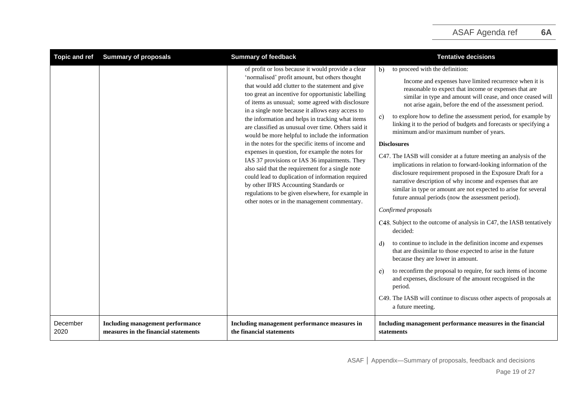| <b>Topic and ref</b> | <b>Summary of proposals</b>                                                     | <b>Summary of feedback</b>                                                                                                                                                                                                                                                                                                                                                                                                                                                                                                                                                                                                                                                                                                                                                                                                                                                                             | <b>Tentative decisions</b>                                                                                                                                                                                                                                                                                                                                                                                                                                                                                                                                                                                                                                                                                                                                                                                                                                                                                                                                                                                                                                                                                                                                                                                                                                                                                                                                                                                                        |
|----------------------|---------------------------------------------------------------------------------|--------------------------------------------------------------------------------------------------------------------------------------------------------------------------------------------------------------------------------------------------------------------------------------------------------------------------------------------------------------------------------------------------------------------------------------------------------------------------------------------------------------------------------------------------------------------------------------------------------------------------------------------------------------------------------------------------------------------------------------------------------------------------------------------------------------------------------------------------------------------------------------------------------|-----------------------------------------------------------------------------------------------------------------------------------------------------------------------------------------------------------------------------------------------------------------------------------------------------------------------------------------------------------------------------------------------------------------------------------------------------------------------------------------------------------------------------------------------------------------------------------------------------------------------------------------------------------------------------------------------------------------------------------------------------------------------------------------------------------------------------------------------------------------------------------------------------------------------------------------------------------------------------------------------------------------------------------------------------------------------------------------------------------------------------------------------------------------------------------------------------------------------------------------------------------------------------------------------------------------------------------------------------------------------------------------------------------------------------------|
|                      |                                                                                 | of profit or loss because it would provide a clear<br>'normalised' profit amount, but others thought<br>that would add clutter to the statement and give<br>too great an incentive for opportunistic labelling<br>of items as unusual; some agreed with disclosure<br>in a single note because it allows easy access to<br>the information and helps in tracking what items<br>are classified as unusual over time. Others said it<br>would be more helpful to include the information<br>in the notes for the specific items of income and<br>expenses in question, for example the notes for<br>IAS 37 provisions or IAS 36 impairments. They<br>also said that the requirement for a single note<br>could lead to duplication of information required<br>by other IFRS Accounting Standards or<br>regulations to be given elsewhere, for example in<br>other notes or in the management commentary. | to proceed with the definition:<br>b)<br>Income and expenses have limited recurrence when it is<br>reasonable to expect that income or expenses that are<br>similar in type and amount will cease, and once ceased will<br>not arise again, before the end of the assessment period.<br>to explore how to define the assessment period, for example by<br>C)<br>linking it to the period of budgets and forecasts or specifying a<br>minimum and/or maximum number of years.<br><b>Disclosures</b><br>C47. The IASB will consider at a future meeting an analysis of the<br>implications in relation to forward-looking information of the<br>disclosure requirement proposed in the Exposure Draft for a<br>narrative description of why income and expenses that are<br>similar in type or amount are not expected to arise for several<br>future annual periods (now the assessment period).<br>Confirmed proposals<br>C48. Subject to the outcome of analysis in C47, the IASB tentatively<br>decided:<br>to continue to include in the definition income and expenses<br>d)<br>that are dissimilar to those expected to arise in the future<br>because they are lower in amount.<br>to reconfirm the proposal to require, for such items of income<br>e)<br>and expenses, disclosure of the amount recognised in the<br>period.<br>C49. The IASB will continue to discuss other aspects of proposals at<br>a future meeting. |
| December<br>2020     | <b>Including management performance</b><br>measures in the financial statements | Including management performance measures in<br>the financial statements                                                                                                                                                                                                                                                                                                                                                                                                                                                                                                                                                                                                                                                                                                                                                                                                                               | Including management performance measures in the financial<br>statements                                                                                                                                                                                                                                                                                                                                                                                                                                                                                                                                                                                                                                                                                                                                                                                                                                                                                                                                                                                                                                                                                                                                                                                                                                                                                                                                                          |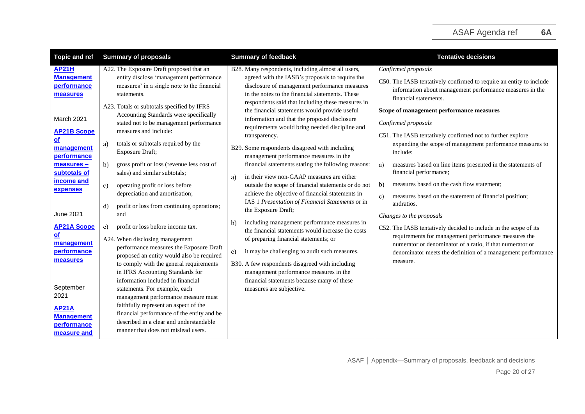| <b>Topic and ref</b>                                                                                                                                                                                                                                                                                                             | <b>Summary of proposals</b>                                                                                                                                                                                                                                                                                                                                                                                                                                                                                                                                                                                                                                                                                                                                                                                                                                                                                                                                                          | <b>Summary of feedback</b>                                                                                                                                                                                                                                                                                                                                                                                                                                                                                                                                                                                                                                                                                                                                                                                                                                                                                                                                                                                                                                                                                                                                                                                                  | <b>Tentative decisions</b>                                                                                                                                                                                                                                                                                                                                                                                                                                                                                                                                                                                                                                                                                                                                                                                                                                                                                                            |
|----------------------------------------------------------------------------------------------------------------------------------------------------------------------------------------------------------------------------------------------------------------------------------------------------------------------------------|--------------------------------------------------------------------------------------------------------------------------------------------------------------------------------------------------------------------------------------------------------------------------------------------------------------------------------------------------------------------------------------------------------------------------------------------------------------------------------------------------------------------------------------------------------------------------------------------------------------------------------------------------------------------------------------------------------------------------------------------------------------------------------------------------------------------------------------------------------------------------------------------------------------------------------------------------------------------------------------|-----------------------------------------------------------------------------------------------------------------------------------------------------------------------------------------------------------------------------------------------------------------------------------------------------------------------------------------------------------------------------------------------------------------------------------------------------------------------------------------------------------------------------------------------------------------------------------------------------------------------------------------------------------------------------------------------------------------------------------------------------------------------------------------------------------------------------------------------------------------------------------------------------------------------------------------------------------------------------------------------------------------------------------------------------------------------------------------------------------------------------------------------------------------------------------------------------------------------------|---------------------------------------------------------------------------------------------------------------------------------------------------------------------------------------------------------------------------------------------------------------------------------------------------------------------------------------------------------------------------------------------------------------------------------------------------------------------------------------------------------------------------------------------------------------------------------------------------------------------------------------------------------------------------------------------------------------------------------------------------------------------------------------------------------------------------------------------------------------------------------------------------------------------------------------|
| <b>AP21H</b><br><b>Management</b><br>performance<br>measures<br>March 2021<br><b>AP21B Scope</b><br>$\underline{\mathsf{of}}$<br>management<br>performance<br>measures -<br>subtotals of<br>income and<br>expenses<br>June 2021<br><b>AP21A Scope</b><br><u>of</u><br>management<br>performance<br>measures<br>September<br>2021 | A22. The Exposure Draft proposed that an<br>entity disclose 'management performance<br>measures' in a single note to the financial<br>statements.<br>A23. Totals or subtotals specified by IFRS<br>Accounting Standards were specifically<br>stated not to be management performance<br>measures and include:<br>totals or subtotals required by the<br>a)<br>Exposure Draft;<br>gross profit or loss (revenue less cost of<br>b)<br>sales) and similar subtotals;<br>$\mathbf{c}$<br>operating profit or loss before<br>depreciation and amortisation;<br>profit or loss from continuing operations;<br>d)<br>and<br>profit or loss before income tax.<br>e)<br>A24. When disclosing management<br>performance measures the Exposure Draft<br>proposed an entity would also be required<br>to comply with the general requirements<br>in IFRS Accounting Standards for<br>information included in financial<br>statements. For example, each<br>management performance measure must | B28. Many respondents, including almost all users,<br>agreed with the IASB's proposals to require the<br>disclosure of management performance measures<br>in the notes to the financial statements. These<br>respondents said that including these measures in<br>the financial statements would provide useful<br>information and that the proposed disclosure<br>requirements would bring needed discipline and<br>transparency.<br>B29. Some respondents disagreed with including<br>management performance measures in the<br>financial statements stating the following reasons:<br>in their view non-GAAP measures are either<br>a)<br>outside the scope of financial statements or do not<br>achieve the objective of financial statements in<br>IAS 1 Presentation of Financial Statements or in<br>the Exposure Draft;<br>including management performance measures in<br>b)<br>the financial statements would increase the costs<br>of preparing financial statements; or<br>$\mathbf{c}$<br>it may be challenging to audit such measures.<br>B30. A few respondents disagreed with including<br>management performance measures in the<br>financial statements because many of these<br>measures are subjective. | Confirmed proposals<br>C50. The IASB tentatively confirmed to require an entity to include<br>information about management performance measures in the<br>financial statements.<br>Scope of management performance measures<br>Confirmed proposals<br>C51. The IASB tentatively confirmed not to further explore<br>expanding the scope of management performance measures to<br>include:<br>measures based on line items presented in the statements of<br>a)<br>financial performance;<br>measures based on the cash flow statement;<br>$\mathbf{b}$<br>measures based on the statement of financial position;<br>c)<br>andratios.<br>Changes to the proposals<br>C52. The IASB tentatively decided to include in the scope of its<br>requirements for management performance measures the<br>numerator or denominator of a ratio, if that numerator or<br>denominator meets the definition of a management performance<br>measure. |
| <b>AP21A</b><br><b>Management</b><br>performance<br>measure and                                                                                                                                                                                                                                                                  | faithfully represent an aspect of the<br>financial performance of the entity and be<br>described in a clear and understandable<br>manner that does not mislead users.                                                                                                                                                                                                                                                                                                                                                                                                                                                                                                                                                                                                                                                                                                                                                                                                                |                                                                                                                                                                                                                                                                                                                                                                                                                                                                                                                                                                                                                                                                                                                                                                                                                                                                                                                                                                                                                                                                                                                                                                                                                             |                                                                                                                                                                                                                                                                                                                                                                                                                                                                                                                                                                                                                                                                                                                                                                                                                                                                                                                                       |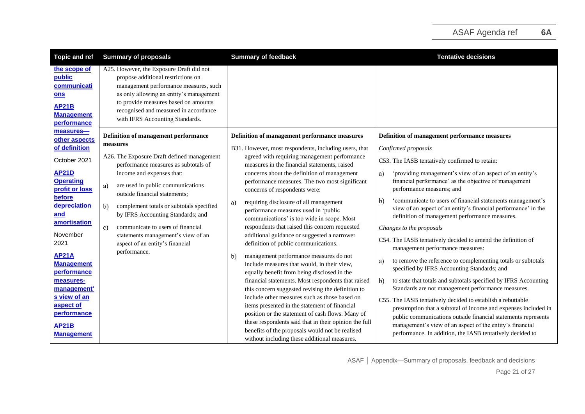| <b>Topic and ref</b>                                                                                                                                                                                                                                                                                                               | <b>Summary of proposals</b>                                                                                                                                                                                                                                                                                                                                                                                                                                                       | <b>Summary of feedback</b>                                                                                                                                                                                                                                                                                                                                                                                                                                                                                                                                                                                                                                                                                                                                                                                                                                                                                                                                                                                                                                                                                | <b>Tentative decisions</b>                                                                                                                                                                                                                                                                                                                                                                                                                                                                                                                                                                                                                                                                                                                                                                                                                                                                                                                                                                                                                                                                                                         |
|------------------------------------------------------------------------------------------------------------------------------------------------------------------------------------------------------------------------------------------------------------------------------------------------------------------------------------|-----------------------------------------------------------------------------------------------------------------------------------------------------------------------------------------------------------------------------------------------------------------------------------------------------------------------------------------------------------------------------------------------------------------------------------------------------------------------------------|-----------------------------------------------------------------------------------------------------------------------------------------------------------------------------------------------------------------------------------------------------------------------------------------------------------------------------------------------------------------------------------------------------------------------------------------------------------------------------------------------------------------------------------------------------------------------------------------------------------------------------------------------------------------------------------------------------------------------------------------------------------------------------------------------------------------------------------------------------------------------------------------------------------------------------------------------------------------------------------------------------------------------------------------------------------------------------------------------------------|------------------------------------------------------------------------------------------------------------------------------------------------------------------------------------------------------------------------------------------------------------------------------------------------------------------------------------------------------------------------------------------------------------------------------------------------------------------------------------------------------------------------------------------------------------------------------------------------------------------------------------------------------------------------------------------------------------------------------------------------------------------------------------------------------------------------------------------------------------------------------------------------------------------------------------------------------------------------------------------------------------------------------------------------------------------------------------------------------------------------------------|
| the scope of<br>public<br>communicati<br>ons<br><b>AP21B</b><br><b>Management</b><br><b>performance</b>                                                                                                                                                                                                                            | A25. However, the Exposure Draft did not<br>propose additional restrictions on<br>management performance measures, such<br>as only allowing an entity's management<br>to provide measures based on amounts<br>recognised and measured in accordance<br>with IFRS Accounting Standards.                                                                                                                                                                                            |                                                                                                                                                                                                                                                                                                                                                                                                                                                                                                                                                                                                                                                                                                                                                                                                                                                                                                                                                                                                                                                                                                           |                                                                                                                                                                                                                                                                                                                                                                                                                                                                                                                                                                                                                                                                                                                                                                                                                                                                                                                                                                                                                                                                                                                                    |
| measures-<br>other aspects<br>of definition<br>October 2021<br><b>AP21D</b><br><b>Operating</b><br>profit or loss<br>before<br>depreciation<br>and<br>amortisation<br>November<br>2021<br><b>AP21A</b><br><b>Management</b><br>performance<br>measures-<br>management'<br>s view of an<br>aspect of<br>performance<br><b>AP21B</b> | Definition of management performance<br>measures<br>A26. The Exposure Draft defined management<br>performance measures as subtotals of<br>income and expenses that:<br>are used in public communications<br>a)<br>outside financial statements;<br>b)<br>complement totals or subtotals specified<br>by IFRS Accounting Standards; and<br>$\circ$ )<br>communicate to users of financial<br>statements management's view of an<br>aspect of an entity's financial<br>performance. | Definition of management performance measures<br>B31. However, most respondents, including users, that<br>agreed with requiring management performance<br>measures in the financial statements, raised<br>concerns about the definition of management<br>performance measures. The two most significant<br>concerns of respondents were:<br>requiring disclosure of all management<br>a)<br>performance measures used in 'public<br>communications' is too wide in scope. Most<br>respondents that raised this concern requested<br>additional guidance or suggested a narrower<br>definition of public communications.<br>management performance measures do not<br>$\mathbf{b}$<br>include measures that would, in their view,<br>equally benefit from being disclosed in the<br>financial statements. Most respondents that raised<br>this concern suggested revising the definition to<br>include other measures such as those based on<br>items presented in the statement of financial<br>position or the statement of cash flows. Many of<br>these respondents said that in their opinion the full | Definition of management performance measures<br>Confirmed proposals<br>C53. The IASB tentatively confirmed to retain:<br>'providing management's view of an aspect of an entity's<br>a)<br>financial performance' as the objective of management<br>performance measures; and<br>'communicate to users of financial statements management's<br>$\mathbf{b}$<br>view of an aspect of an entity's financial performance' in the<br>definition of management performance measures.<br>Changes to the proposals<br>C54. The IASB tentatively decided to amend the definition of<br>management performance measures:<br>to remove the reference to complementing totals or subtotals<br>a)<br>specified by IFRS Accounting Standards; and<br>to state that totals and subtotals specified by IFRS Accounting<br>b)<br>Standards are not management performance measures.<br>C55. The IASB tentatively decided to establish a rebuttable<br>presumption that a subtotal of income and expenses included in<br>public communications outside financial statements represents<br>management's view of an aspect of the entity's financial |
| <b>Management</b>                                                                                                                                                                                                                                                                                                                  |                                                                                                                                                                                                                                                                                                                                                                                                                                                                                   | benefits of the proposals would not be realised<br>without including these additional measures.                                                                                                                                                                                                                                                                                                                                                                                                                                                                                                                                                                                                                                                                                                                                                                                                                                                                                                                                                                                                           | performance. In addition, the IASB tentatively decided to                                                                                                                                                                                                                                                                                                                                                                                                                                                                                                                                                                                                                                                                                                                                                                                                                                                                                                                                                                                                                                                                          |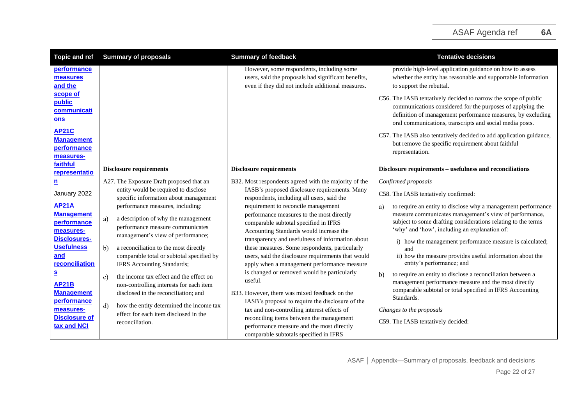<span id="page-21-2"></span><span id="page-21-1"></span><span id="page-21-0"></span>

| <b>Topic and ref</b>                                                                                                                                                                                            | <b>Summary of proposals</b>                                                                                                                                                                                                                                                                                                                                                                                                                                                                                                                       | <b>Summary of feedback</b>                                                                                                                                                                                                                                                                                                                                                                                                                                                                                                                                                                                                                         | <b>Tentative decisions</b>                                                                                                                                                                                                                                                                                                                                                                                                                                                                                                                                                                                                                                                      |
|-----------------------------------------------------------------------------------------------------------------------------------------------------------------------------------------------------------------|---------------------------------------------------------------------------------------------------------------------------------------------------------------------------------------------------------------------------------------------------------------------------------------------------------------------------------------------------------------------------------------------------------------------------------------------------------------------------------------------------------------------------------------------------|----------------------------------------------------------------------------------------------------------------------------------------------------------------------------------------------------------------------------------------------------------------------------------------------------------------------------------------------------------------------------------------------------------------------------------------------------------------------------------------------------------------------------------------------------------------------------------------------------------------------------------------------------|---------------------------------------------------------------------------------------------------------------------------------------------------------------------------------------------------------------------------------------------------------------------------------------------------------------------------------------------------------------------------------------------------------------------------------------------------------------------------------------------------------------------------------------------------------------------------------------------------------------------------------------------------------------------------------|
| performance<br>measures<br>and the                                                                                                                                                                              |                                                                                                                                                                                                                                                                                                                                                                                                                                                                                                                                                   | However, some respondents, including some<br>users, said the proposals had significant benefits,<br>even if they did not include additional measures.                                                                                                                                                                                                                                                                                                                                                                                                                                                                                              | provide high-level application guidance on how to assess<br>whether the entity has reasonable and supportable information<br>to support the rebuttal.                                                                                                                                                                                                                                                                                                                                                                                                                                                                                                                           |
| scope of<br>public<br>communicati<br>ons<br><b>AP21C</b><br><b>Management</b><br>performance<br>measures-                                                                                                       |                                                                                                                                                                                                                                                                                                                                                                                                                                                                                                                                                   |                                                                                                                                                                                                                                                                                                                                                                                                                                                                                                                                                                                                                                                    | C56. The IASB tentatively decided to narrow the scope of public<br>communications considered for the purposes of applying the<br>definition of management performance measures, by excluding<br>oral communications, transcripts and social media posts.<br>C57. The IASB also tentatively decided to add application guidance,<br>but remove the specific requirement about faithful<br>representation.                                                                                                                                                                                                                                                                        |
| faithful<br>representatio                                                                                                                                                                                       | <b>Disclosure requirements</b>                                                                                                                                                                                                                                                                                                                                                                                                                                                                                                                    | <b>Disclosure requirements</b>                                                                                                                                                                                                                                                                                                                                                                                                                                                                                                                                                                                                                     | Disclosure requirements - usefulness and reconciliations                                                                                                                                                                                                                                                                                                                                                                                                                                                                                                                                                                                                                        |
| <u>n</u><br>January 2022<br><b>AP21A</b><br><b>Management</b><br>performance<br>measures-<br><b>Disclosures-</b><br><b>Usefulness</b><br>and<br>reconciliation<br><u>s</u><br><b>AP21B</b><br><b>Management</b> | A27. The Exposure Draft proposed that an<br>entity would be required to disclose<br>specific information about management<br>performance measures, including:<br>a)<br>a description of why the management<br>performance measure communicates<br>management's view of performance;<br>b)<br>a reconciliation to the most directly<br>comparable total or subtotal specified by<br>IFRS Accounting Standards;<br>the income tax effect and the effect on<br>c)<br>non-controlling interests for each item<br>disclosed in the reconciliation; and | B32. Most respondents agreed with the majority of the<br>IASB's proposed disclosure requirements. Many<br>respondents, including all users, said the<br>requirement to reconcile management<br>performance measures to the most directly<br>comparable subtotal specified in IFRS<br>Accounting Standards would increase the<br>transparency and usefulness of information about<br>these measures. Some respondents, particularly<br>users, said the disclosure requirements that would<br>apply when a management performance measure<br>is changed or removed would be particularly<br>useful.<br>B33. However, there was mixed feedback on the | Confirmed proposals<br>C58. The IASB tentatively confirmed:<br>to require an entity to disclose why a management performance<br>a)<br>measure communicates management's view of performance,<br>subject to some drafting considerations relating to the terms<br>'why' and 'how', including an explanation of:<br>i) how the management performance measure is calculated;<br>and<br>ii) how the measure provides useful information about the<br>entity's performance; and<br>to require an entity to disclose a reconciliation between a<br>$\mathbf{b}$<br>management performance measure and the most directly<br>comparable subtotal or total specified in IFRS Accounting |
| performance<br>measures-<br><b>Disclosure of</b><br>tax and NCI                                                                                                                                                 | how the entity determined the income tax<br>d)<br>effect for each item disclosed in the<br>reconciliation.                                                                                                                                                                                                                                                                                                                                                                                                                                        | IASB's proposal to require the disclosure of the<br>tax and non-controlling interest effects of<br>reconciling items between the management<br>performance measure and the most directly<br>comparable subtotals specified in IFRS                                                                                                                                                                                                                                                                                                                                                                                                                 | Standards.<br>Changes to the proposals<br>C59. The IASB tentatively decided:                                                                                                                                                                                                                                                                                                                                                                                                                                                                                                                                                                                                    |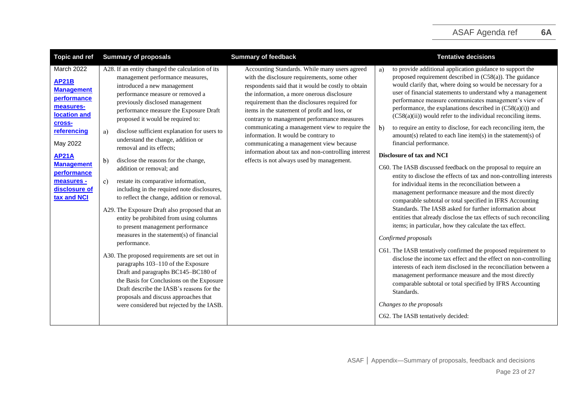| <b>Topic and ref</b>                                                                                                                                                                                                               | <b>Summary of proposals</b>                                                                                                                                                                                                                                                                                                                                                                                                                                                                                                                                                                                                                                                                                                                                                                                                                                                                                                                                                                                                                                                                                                         | <b>Summary of feedback</b>                                                                                                                                                                                                                                                                                                                                                                                                                                                                                                                                                                 | <b>Tentative decisions</b>                                                                                                                                                                                                                                                                                                                                                                                                                                                                                                                                                                                                                                                                                                                                                                                                                                                                                                                                                                                                                                                                                                                                                                                                                                                                                                                                                                                                                                                                                                                                                                                                   |
|------------------------------------------------------------------------------------------------------------------------------------------------------------------------------------------------------------------------------------|-------------------------------------------------------------------------------------------------------------------------------------------------------------------------------------------------------------------------------------------------------------------------------------------------------------------------------------------------------------------------------------------------------------------------------------------------------------------------------------------------------------------------------------------------------------------------------------------------------------------------------------------------------------------------------------------------------------------------------------------------------------------------------------------------------------------------------------------------------------------------------------------------------------------------------------------------------------------------------------------------------------------------------------------------------------------------------------------------------------------------------------|--------------------------------------------------------------------------------------------------------------------------------------------------------------------------------------------------------------------------------------------------------------------------------------------------------------------------------------------------------------------------------------------------------------------------------------------------------------------------------------------------------------------------------------------------------------------------------------------|------------------------------------------------------------------------------------------------------------------------------------------------------------------------------------------------------------------------------------------------------------------------------------------------------------------------------------------------------------------------------------------------------------------------------------------------------------------------------------------------------------------------------------------------------------------------------------------------------------------------------------------------------------------------------------------------------------------------------------------------------------------------------------------------------------------------------------------------------------------------------------------------------------------------------------------------------------------------------------------------------------------------------------------------------------------------------------------------------------------------------------------------------------------------------------------------------------------------------------------------------------------------------------------------------------------------------------------------------------------------------------------------------------------------------------------------------------------------------------------------------------------------------------------------------------------------------------------------------------------------------|
| March 2022<br><b>AP21B</b><br><b>Management</b><br>performance<br>measures-<br>location and<br>cross-<br>referencing<br>May 2022<br><b>AP21A</b><br><b>Management</b><br>performance<br>measures -<br>disclosure of<br>tax and NCI | A28. If an entity changed the calculation of its<br>management performance measures,<br>introduced a new management<br>performance measure or removed a<br>previously disclosed management<br>performance measure the Exposure Draft<br>proposed it would be required to:<br>disclose sufficient explanation for users to<br>a)<br>understand the change, addition or<br>removal and its effects;<br>disclose the reasons for the change,<br>b)<br>addition or removal; and<br>restate its comparative information,<br>c)<br>including in the required note disclosures,<br>to reflect the change, addition or removal.<br>A29. The Exposure Draft also proposed that an<br>entity be prohibited from using columns<br>to present management performance<br>measures in the statement(s) of financial<br>performance.<br>A30. The proposed requirements are set out in<br>paragraphs 103-110 of the Exposure<br>Draft and paragraphs BC145-BC180 of<br>the Basis for Conclusions on the Exposure<br>Draft describe the IASB's reasons for the<br>proposals and discuss approaches that<br>were considered but rejected by the IASB. | Accounting Standards. While many users agreed<br>with the disclosure requirements, some other<br>respondents said that it would be costly to obtain<br>the information, a more onerous disclosure<br>requirement than the disclosures required for<br>items in the statement of profit and loss, or<br>contrary to management performance measures<br>communicating a management view to require the<br>information. It would be contrary to<br>communicating a management view because<br>information about tax and non-controlling interest<br>effects is not always used by management. | to provide additional application guidance to support the<br>a)<br>proposed requirement described in $(C58(a))$ . The guidance<br>would clarify that, where doing so would be necessary for a<br>user of financial statements to understand why a management<br>performance measure communicates management's view of<br>performance, the explanations described in (C58(a)(i)) and<br>(C58(a)(ii)) would refer to the individual reconciling items.<br>to require an entity to disclose, for each reconciling item, the<br>$\mathbf{b}$<br>$amount(s) related to each line item(s) in the statement(s) of$<br>financial performance.<br>Disclosure of tax and NCI<br>C60. The IASB discussed feedback on the proposal to require an<br>entity to disclose the effects of tax and non-controlling interests<br>for individual items in the reconciliation between a<br>management performance measure and the most directly<br>comparable subtotal or total specified in IFRS Accounting<br>Standards. The IASB asked for further information about<br>entities that already disclose the tax effects of such reconciling<br>items; in particular, how they calculate the tax effect.<br>Confirmed proposals<br>C61. The IASB tentatively confirmed the proposed requirement to<br>disclose the income tax effect and the effect on non-controlling<br>interests of each item disclosed in the reconciliation between a<br>management performance measure and the most directly<br>comparable subtotal or total specified by IFRS Accounting<br>Standards.<br>Changes to the proposals<br>C62. The IASB tentatively decided: |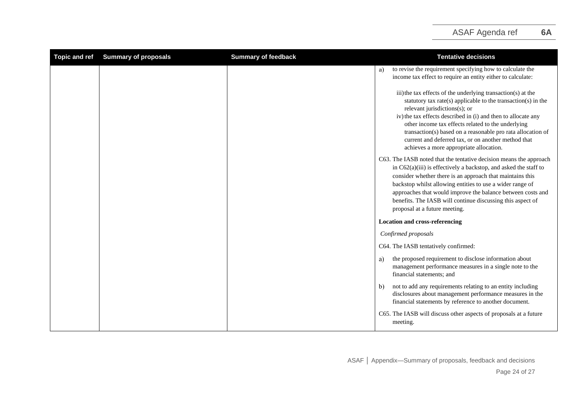<span id="page-23-0"></span>

| <b>Topic and ref</b> | <b>Summary of proposals</b> | <b>Summary of feedback</b> | <b>Tentative decisions</b>                                                                                                                                                                                                                                                                                                                                                                                                                             |
|----------------------|-----------------------------|----------------------------|--------------------------------------------------------------------------------------------------------------------------------------------------------------------------------------------------------------------------------------------------------------------------------------------------------------------------------------------------------------------------------------------------------------------------------------------------------|
|                      |                             |                            | to revise the requirement specifying how to calculate the<br>a)<br>income tax effect to require an entity either to calculate:                                                                                                                                                                                                                                                                                                                         |
|                      |                             |                            | iii) the tax effects of the underlying transaction(s) at the<br>statutory tax rate(s) applicable to the transaction(s) in the<br>relevant jurisdictions(s); or<br>iv) the tax effects described in (i) and then to allocate any<br>other income tax effects related to the underlying<br>transaction(s) based on a reasonable pro rata allocation of<br>current and deferred tax, or on another method that<br>achieves a more appropriate allocation. |
|                      |                             |                            | C63. The IASB noted that the tentative decision means the approach<br>in $C62(a)(iii)$ is effectively a backstop, and asked the staff to<br>consider whether there is an approach that maintains this<br>backstop whilst allowing entities to use a wider range of<br>approaches that would improve the balance between costs and<br>benefits. The IASB will continue discussing this aspect of<br>proposal at a future meeting.                       |
|                      |                             |                            | <b>Location and cross-referencing</b>                                                                                                                                                                                                                                                                                                                                                                                                                  |
|                      |                             |                            | Confirmed proposals                                                                                                                                                                                                                                                                                                                                                                                                                                    |
|                      |                             |                            | C64. The IASB tentatively confirmed:                                                                                                                                                                                                                                                                                                                                                                                                                   |
|                      |                             |                            | the proposed requirement to disclose information about<br>a)<br>management performance measures in a single note to the<br>financial statements; and                                                                                                                                                                                                                                                                                                   |
|                      |                             |                            | not to add any requirements relating to an entity including<br>b)<br>disclosures about management performance measures in the<br>financial statements by reference to another document.                                                                                                                                                                                                                                                                |
|                      |                             |                            | C65. The IASB will discuss other aspects of proposals at a future<br>meeting.                                                                                                                                                                                                                                                                                                                                                                          |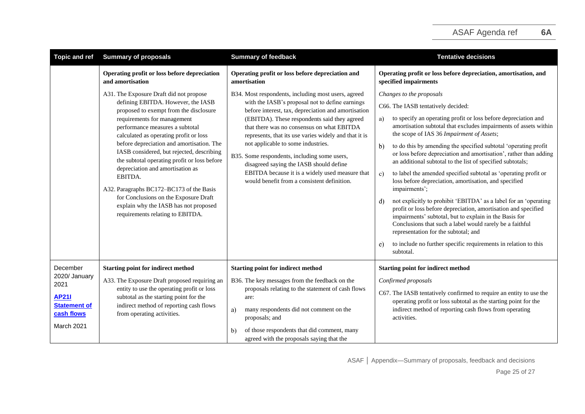| <b>Topic and ref</b>                                                                                 | <b>Summary of proposals</b>                                                                                                                                                                                                                                                                                                                                                                                                                                                                                                                                                                    | <b>Summary of feedback</b>                                                                                                                                                                                                                                                                                                                                                                                                                                                                                                                              | <b>Tentative decisions</b>                                                                                                                                                                                                                                                                                                                                                                                                                                                                                                                                                                                                                                                                                                                                                                                                                                                                                                                                                                                                       |
|------------------------------------------------------------------------------------------------------|------------------------------------------------------------------------------------------------------------------------------------------------------------------------------------------------------------------------------------------------------------------------------------------------------------------------------------------------------------------------------------------------------------------------------------------------------------------------------------------------------------------------------------------------------------------------------------------------|---------------------------------------------------------------------------------------------------------------------------------------------------------------------------------------------------------------------------------------------------------------------------------------------------------------------------------------------------------------------------------------------------------------------------------------------------------------------------------------------------------------------------------------------------------|----------------------------------------------------------------------------------------------------------------------------------------------------------------------------------------------------------------------------------------------------------------------------------------------------------------------------------------------------------------------------------------------------------------------------------------------------------------------------------------------------------------------------------------------------------------------------------------------------------------------------------------------------------------------------------------------------------------------------------------------------------------------------------------------------------------------------------------------------------------------------------------------------------------------------------------------------------------------------------------------------------------------------------|
|                                                                                                      | Operating profit or loss before depreciation<br>and amortisation                                                                                                                                                                                                                                                                                                                                                                                                                                                                                                                               | Operating profit or loss before depreciation and<br>amortisation                                                                                                                                                                                                                                                                                                                                                                                                                                                                                        | Operating profit or loss before depreciation, amortisation, and<br>specified impairments                                                                                                                                                                                                                                                                                                                                                                                                                                                                                                                                                                                                                                                                                                                                                                                                                                                                                                                                         |
|                                                                                                      | A31. The Exposure Draft did not propose<br>defining EBITDA. However, the IASB<br>proposed to exempt from the disclosure<br>requirements for management<br>performance measures a subtotal<br>calculated as operating profit or loss<br>before depreciation and amortisation. The<br>IASB considered, but rejected, describing<br>the subtotal operating profit or loss before<br>depreciation and amortisation as<br>EBITDA.<br>A32. Paragraphs BC172-BC173 of the Basis<br>for Conclusions on the Exposure Draft<br>explain why the IASB has not proposed<br>requirements relating to EBITDA. | B34. Most respondents, including most users, agreed<br>with the IASB's proposal not to define earnings<br>before interest, tax, depreciation and amortisation<br>(EBITDA). These respondents said they agreed<br>that there was no consensus on what EBITDA<br>represents, that its use varies widely and that it is<br>not applicable to some industries.<br>B35. Some respondents, including some users,<br>disagreed saying the IASB should define<br>EBITDA because it is a widely used measure that<br>would benefit from a consistent definition. | Changes to the proposals<br>C66. The IASB tentatively decided:<br>to specify an operating profit or loss before depreciation and<br>a)<br>amortisation subtotal that excludes impairments of assets within<br>the scope of IAS 36 Impairment of Assets;<br>to do this by amending the specified subtotal 'operating profit<br>$\mathbf{b}$<br>or loss before depreciation and amortisation', rather than adding<br>an additional subtotal to the list of specified subtotals;<br>to label the amended specified subtotal as 'operating profit or<br>c)<br>loss before depreciation, amortisation, and specified<br>impairments';<br>not explicitly to prohibit 'EBITDA' as a label for an 'operating<br>d)<br>profit or loss before depreciation, amortisation and specified<br>impairments' subtotal, but to explain in the Basis for<br>Conclusions that such a label would rarely be a faithful<br>representation for the subtotal; and<br>to include no further specific requirements in relation to this<br>e)<br>subtotal. |
| December<br>2020/ January<br>2021<br><b>AP211</b><br><b>Statement of</b><br>cash flows<br>March 2021 | <b>Starting point for indirect method</b><br>A33. The Exposure Draft proposed requiring an<br>entity to use the operating profit or loss<br>subtotal as the starting point for the<br>indirect method of reporting cash flows<br>from operating activities.                                                                                                                                                                                                                                                                                                                                    | <b>Starting point for indirect method</b><br>B36. The key messages from the feedback on the<br>proposals relating to the statement of cash flows<br>are:<br>many respondents did not comment on the<br>a)<br>proposals; and<br>of those respondents that did comment, many<br>$\mathbf{b}$<br>agreed with the proposals saying that the                                                                                                                                                                                                                 | <b>Starting point for indirect method</b><br>Confirmed proposals<br>C67. The IASB tentatively confirmed to require an entity to use the<br>operating profit or loss subtotal as the starting point for the<br>indirect method of reporting cash flows from operating<br>activities.                                                                                                                                                                                                                                                                                                                                                                                                                                                                                                                                                                                                                                                                                                                                              |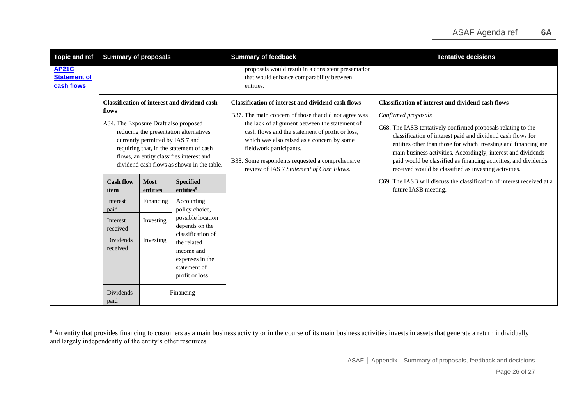| <b>Topic and ref</b>                              | <b>Summary of proposals</b>                                                                                                                                                                                                                                                                                               |                         |                                                                                                                                                                            | <b>Summary of feedback</b>                                                                                                                                                                                                                                                                                                                                                                      | <b>Tentative decisions</b>                                                                                                                                                                                                                                                                                                                                                                                                                                                       |
|---------------------------------------------------|---------------------------------------------------------------------------------------------------------------------------------------------------------------------------------------------------------------------------------------------------------------------------------------------------------------------------|-------------------------|----------------------------------------------------------------------------------------------------------------------------------------------------------------------------|-------------------------------------------------------------------------------------------------------------------------------------------------------------------------------------------------------------------------------------------------------------------------------------------------------------------------------------------------------------------------------------------------|----------------------------------------------------------------------------------------------------------------------------------------------------------------------------------------------------------------------------------------------------------------------------------------------------------------------------------------------------------------------------------------------------------------------------------------------------------------------------------|
| <b>AP21C</b><br><b>Statement of</b><br>cash flows |                                                                                                                                                                                                                                                                                                                           |                         |                                                                                                                                                                            | proposals would result in a consistent presentation<br>that would enhance comparability between<br>entities.                                                                                                                                                                                                                                                                                    |                                                                                                                                                                                                                                                                                                                                                                                                                                                                                  |
|                                                   | <b>Classification of interest and dividend cash</b><br>flows<br>A34. The Exposure Draft also proposed<br>reducing the presentation alternatives<br>currently permitted by IAS 7 and<br>requiring that, in the statement of cash<br>flows, an entity classifies interest and<br>dividend cash flows as shown in the table. |                         |                                                                                                                                                                            | <b>Classification of interest and dividend cash flows</b><br>B37. The main concern of those that did not agree was<br>the lack of alignment between the statement of<br>cash flows and the statement of profit or loss,<br>which was also raised as a concern by some<br>fieldwork participants.<br>B38. Some respondents requested a comprehensive<br>review of IAS 7 Statement of Cash Flows. | <b>Classification of interest and dividend cash flows</b><br>Confirmed proposals<br>C68. The IASB tentatively confirmed proposals relating to the<br>classification of interest paid and dividend cash flows for<br>entities other than those for which investing and financing are<br>main business activities. Accordingly, interest and dividends<br>paid would be classified as financing activities, and dividends<br>received would be classified as investing activities. |
|                                                   | <b>Cash flow</b><br>item                                                                                                                                                                                                                                                                                                  | <b>Most</b><br>entities | <b>Specified</b><br>entities <sup>9</sup>                                                                                                                                  |                                                                                                                                                                                                                                                                                                                                                                                                 | C69. The IASB will discuss the classification of interest received at a<br>future IASB meeting.                                                                                                                                                                                                                                                                                                                                                                                  |
|                                                   | Interest<br>paid                                                                                                                                                                                                                                                                                                          | Financing               | Accounting<br>policy choice,<br>possible location<br>depends on the<br>classification of<br>the related<br>income and<br>expenses in the<br>statement of<br>profit or loss |                                                                                                                                                                                                                                                                                                                                                                                                 |                                                                                                                                                                                                                                                                                                                                                                                                                                                                                  |
|                                                   | Interest<br>received                                                                                                                                                                                                                                                                                                      | Investing               |                                                                                                                                                                            |                                                                                                                                                                                                                                                                                                                                                                                                 |                                                                                                                                                                                                                                                                                                                                                                                                                                                                                  |
|                                                   | Dividends<br>received                                                                                                                                                                                                                                                                                                     | Investing               |                                                                                                                                                                            |                                                                                                                                                                                                                                                                                                                                                                                                 |                                                                                                                                                                                                                                                                                                                                                                                                                                                                                  |
|                                                   | Dividends<br>paid                                                                                                                                                                                                                                                                                                         | Financing               |                                                                                                                                                                            |                                                                                                                                                                                                                                                                                                                                                                                                 |                                                                                                                                                                                                                                                                                                                                                                                                                                                                                  |

<sup>&</sup>lt;sup>9</sup> An entity that provides financing to customers as a main business activity or in the course of its main business activities invests in assets that generate a return individually and largely independently of the entity's other resources.